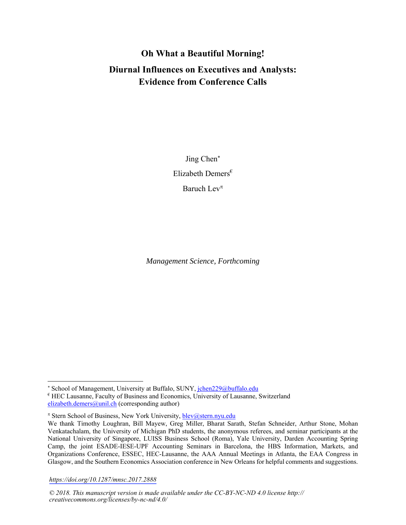# **Oh What a Beautiful Morning! Diurnal Influences on Executives and Analysts: Evidence from Conference Calls**

Jing Chen Elizabeth Demers $\epsilon$ Baruch Lev $\pi$ 

*Management Science, Forthcoming*

*https://doi.org/10.1287/mnsc.2017.2888*

<sup>\*</sup> School of Management, University at Buffalo, SUNY, jchen229@buffalo.edu

 $\epsilon$  HEC Lausanne, Faculty of Business and Economics, University of Lausanne, Switzerland elizabeth.demers@unil.ch (corresponding author)

<sup>&</sup>lt;sup>T</sup> Stern School of Business, New York University, **blev@stern.nyu.edu** 

We thank Timothy Loughran, Bill Mayew, Greg Miller, Bharat Sarath, Stefan Schneider, Arthur Stone, Mohan Venkatachalam, the University of Michigan PhD students, the anonymous referees, and seminar participants at the National University of Singapore, LUISS Business School (Roma), Yale University, Darden Accounting Spring Camp, the joint ESADE-IESE-UPF Accounting Seminars in Barcelona, the HBS Information, Markets, and Organizations Conference, ESSEC, HEC-Lausanne, the AAA Annual Meetings in Atlanta, the EAA Congress in Glasgow, and the Southern Economics Association conference in New Orleans for helpful comments and suggestions.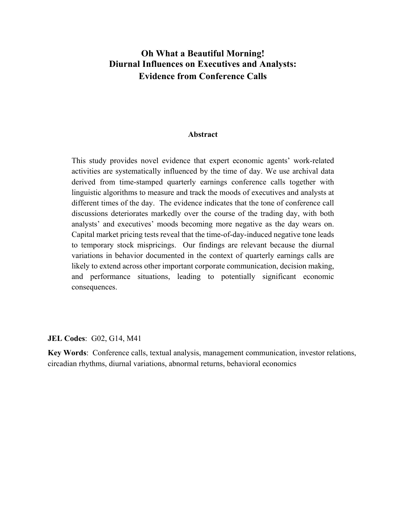# **Oh What a Beautiful Morning! Diurnal Influences on Executives and Analysts: Evidence from Conference Calls**

### **Abstract**

This study provides novel evidence that expert economic agents' work-related activities are systematically influenced by the time of day. We use archival data derived from time-stamped quarterly earnings conference calls together with linguistic algorithms to measure and track the moods of executives and analysts at different times of the day. The evidence indicates that the tone of conference call discussions deteriorates markedly over the course of the trading day, with both analysts' and executives' moods becoming more negative as the day wears on. Capital market pricing tests reveal that the time-of-day-induced negative tone leads to temporary stock mispricings. Our findings are relevant because the diurnal variations in behavior documented in the context of quarterly earnings calls are likely to extend across other important corporate communication, decision making, and performance situations, leading to potentially significant economic consequences.

**JEL Codes**: G02, G14, M41

**Key Words**: Conference calls, textual analysis, management communication, investor relations, circadian rhythms, diurnal variations, abnormal returns, behavioral economics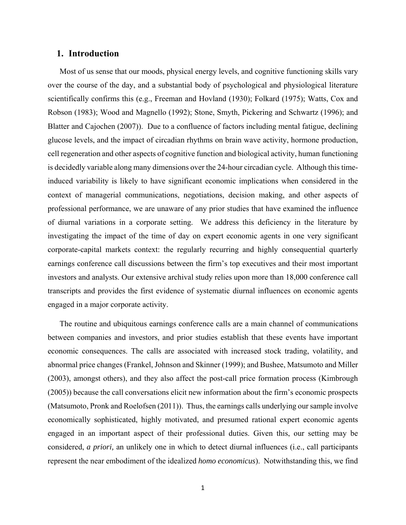### **1. Introduction**

Most of us sense that our moods, physical energy levels, and cognitive functioning skills vary over the course of the day, and a substantial body of psychological and physiological literature scientifically confirms this (e.g., Freeman and Hovland (1930); Folkard (1975); Watts, Cox and Robson (1983); Wood and Magnello (1992); Stone, Smyth, Pickering and Schwartz (1996); and Blatter and Cajochen (2007)). Due to a confluence of factors including mental fatigue, declining glucose levels, and the impact of circadian rhythms on brain wave activity, hormone production, cell regeneration and other aspects of cognitive function and biological activity, human functioning is decidedly variable along many dimensions over the 24-hour circadian cycle. Although this timeinduced variability is likely to have significant economic implications when considered in the context of managerial communications, negotiations, decision making, and other aspects of professional performance, we are unaware of any prior studies that have examined the influence of diurnal variations in a corporate setting. We address this deficiency in the literature by investigating the impact of the time of day on expert economic agents in one very significant corporate-capital markets context: the regularly recurring and highly consequential quarterly earnings conference call discussions between the firm's top executives and their most important investors and analysts. Our extensive archival study relies upon more than 18,000 conference call transcripts and provides the first evidence of systematic diurnal influences on economic agents engaged in a major corporate activity.

The routine and ubiquitous earnings conference calls are a main channel of communications between companies and investors, and prior studies establish that these events have important economic consequences. The calls are associated with increased stock trading, volatility, and abnormal price changes (Frankel, Johnson and Skinner (1999); and Bushee, Matsumoto and Miller (2003), amongst others), and they also affect the post-call price formation process (Kimbrough (2005)) because the call conversations elicit new information about the firm's economic prospects (Matsumoto, Pronk and Roelofsen (2011)). Thus, the earnings calls underlying our sample involve economically sophisticated, highly motivated, and presumed rational expert economic agents engaged in an important aspect of their professional duties. Given this, our setting may be considered, *a priori,* an unlikely one in which to detect diurnal influences (i.e., call participants represent the near embodiment of the idealized *homo economicus*). Notwithstanding this, we find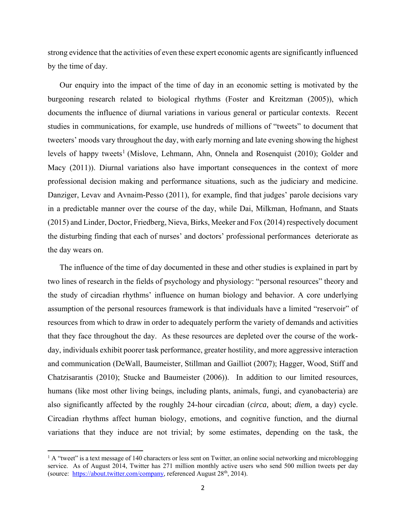strong evidence that the activities of even these expert economic agents are significantly influenced by the time of day.

Our enquiry into the impact of the time of day in an economic setting is motivated by the burgeoning research related to biological rhythms (Foster and Kreitzman (2005)), which documents the influence of diurnal variations in various general or particular contexts. Recent studies in communications, for example, use hundreds of millions of "tweets" to document that tweeters' moods vary throughout the day, with early morning and late evening showing the highest levels of happy tweets<sup>1</sup> (Mislove, Lehmann, Ahn, Onnela and Rosenquist (2010); Golder and Macy (2011)). Diurnal variations also have important consequences in the context of more professional decision making and performance situations, such as the judiciary and medicine. Danziger, Levav and Avnaim-Pesso (2011), for example, find that judges' parole decisions vary in a predictable manner over the course of the day, while Dai, Milkman, Hofmann, and Staats (2015) and Linder, Doctor, Friedberg, Nieva, Birks, Meeker and Fox (2014) respectively document the disturbing finding that each of nurses' and doctors' professional performances deteriorate as the day wears on.

The influence of the time of day documented in these and other studies is explained in part by two lines of research in the fields of psychology and physiology: "personal resources" theory and the study of circadian rhythms' influence on human biology and behavior. A core underlying assumption of the personal resources framework is that individuals have a limited "reservoir" of resources from which to draw in order to adequately perform the variety of demands and activities that they face throughout the day. As these resources are depleted over the course of the workday, individuals exhibit poorer task performance, greater hostility, and more aggressive interaction and communication (DeWall, Baumeister, Stillman and Gailliot (2007); Hagger, Wood, Stiff and Chatzisarantis (2010); Stucke and Baumeister (2006)). In addition to our limited resources, humans (like most other living beings, including plants, animals, fungi, and cyanobacteria) are also significantly affected by the roughly 24-hour circadian (*circa,* about; *diem,* a day) cycle. Circadian rhythms affect human biology, emotions, and cognitive function, and the diurnal variations that they induce are not trivial; by some estimates, depending on the task, the

 $<sup>1</sup>$  A "tweet" is a text message of 140 characters or less sent on Twitter, an online social networking and microblogging</sup> service. As of August 2014, Twitter has 271 million monthly active users who send 500 million tweets per day (source: https://about.twitter.com/company, referenced August 28<sup>th</sup>, 2014).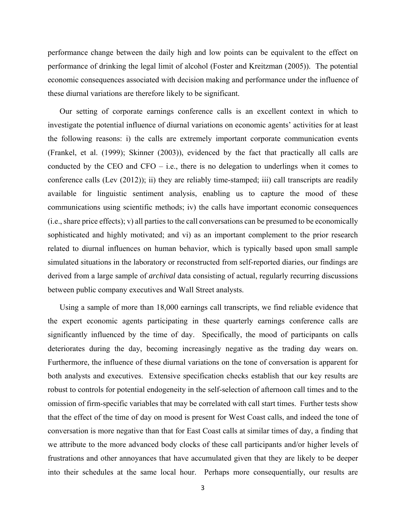performance change between the daily high and low points can be equivalent to the effect on performance of drinking the legal limit of alcohol (Foster and Kreitzman (2005)). The potential economic consequences associated with decision making and performance under the influence of these diurnal variations are therefore likely to be significant.

Our setting of corporate earnings conference calls is an excellent context in which to investigate the potential influence of diurnal variations on economic agents' activities for at least the following reasons: i) the calls are extremely important corporate communication events (Frankel, et al. (1999); Skinner (2003)), evidenced by the fact that practically all calls are conducted by the CEO and CFO – i.e., there is no delegation to underlings when it comes to conference calls (Lev  $(2012)$ ); ii) they are reliably time-stamped; iii) call transcripts are readily available for linguistic sentiment analysis, enabling us to capture the mood of these communications using scientific methods; iv) the calls have important economic consequences (i.e., share price effects); v) all parties to the call conversations can be presumed to be economically sophisticated and highly motivated; and vi) as an important complement to the prior research related to diurnal influences on human behavior, which is typically based upon small sample simulated situations in the laboratory or reconstructed from self-reported diaries, our findings are derived from a large sample of *archival* data consisting of actual, regularly recurring discussions between public company executives and Wall Street analysts.

Using a sample of more than 18,000 earnings call transcripts, we find reliable evidence that the expert economic agents participating in these quarterly earnings conference calls are significantly influenced by the time of day. Specifically, the mood of participants on calls deteriorates during the day, becoming increasingly negative as the trading day wears on. Furthermore, the influence of these diurnal variations on the tone of conversation is apparent for both analysts and executives. Extensive specification checks establish that our key results are robust to controls for potential endogeneity in the self-selection of afternoon call times and to the omission of firm-specific variables that may be correlated with call start times. Further tests show that the effect of the time of day on mood is present for West Coast calls, and indeed the tone of conversation is more negative than that for East Coast calls at similar times of day, a finding that we attribute to the more advanced body clocks of these call participants and/or higher levels of frustrations and other annoyances that have accumulated given that they are likely to be deeper into their schedules at the same local hour. Perhaps more consequentially, our results are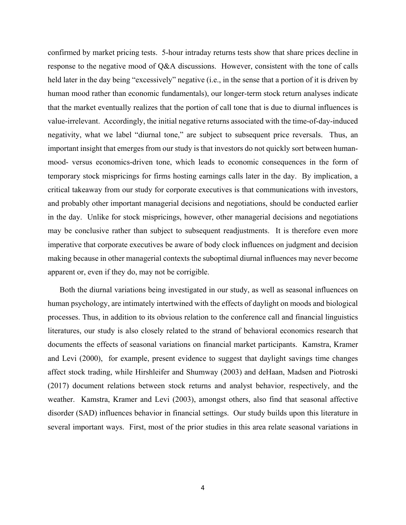confirmed by market pricing tests. 5-hour intraday returns tests show that share prices decline in response to the negative mood of Q&A discussions. However, consistent with the tone of calls held later in the day being "excessively" negative (i.e., in the sense that a portion of it is driven by human mood rather than economic fundamentals), our longer-term stock return analyses indicate that the market eventually realizes that the portion of call tone that is due to diurnal influences is value-irrelevant. Accordingly, the initial negative returns associated with the time-of-day-induced negativity, what we label "diurnal tone," are subject to subsequent price reversals. Thus, an important insight that emerges from our study is that investors do not quickly sort between humanmood- versus economics-driven tone, which leads to economic consequences in the form of temporary stock mispricings for firms hosting earnings calls later in the day. By implication, a critical takeaway from our study for corporate executives is that communications with investors, and probably other important managerial decisions and negotiations, should be conducted earlier in the day. Unlike for stock mispricings, however, other managerial decisions and negotiations may be conclusive rather than subject to subsequent readjustments. It is therefore even more imperative that corporate executives be aware of body clock influences on judgment and decision making because in other managerial contexts the suboptimal diurnal influences may never become apparent or, even if they do, may not be corrigible.

Both the diurnal variations being investigated in our study, as well as seasonal influences on human psychology, are intimately intertwined with the effects of daylight on moods and biological processes. Thus, in addition to its obvious relation to the conference call and financial linguistics literatures, our study is also closely related to the strand of behavioral economics research that documents the effects of seasonal variations on financial market participants. Kamstra, Kramer and Levi (2000), for example, present evidence to suggest that daylight savings time changes affect stock trading, while Hirshleifer and Shumway (2003) and deHaan, Madsen and Piotroski (2017) document relations between stock returns and analyst behavior, respectively, and the weather. Kamstra, Kramer and Levi (2003), amongst others, also find that seasonal affective disorder (SAD) influences behavior in financial settings. Our study builds upon this literature in several important ways. First, most of the prior studies in this area relate seasonal variations in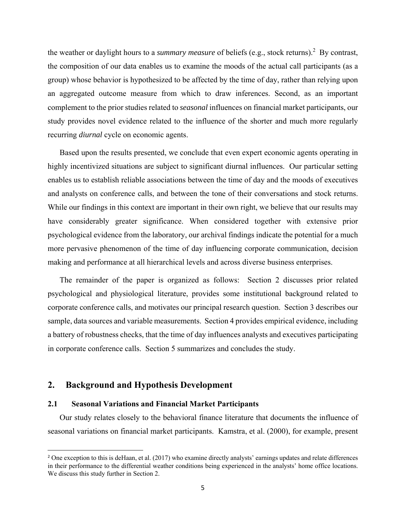the weather or daylight hours to a *summary measure* of beliefs (e.g., stock returns).2 By contrast, the composition of our data enables us to examine the moods of the actual call participants (as a group) whose behavior is hypothesized to be affected by the time of day, rather than relying upon an aggregated outcome measure from which to draw inferences. Second, as an important complement to the prior studies related to *seasonal* influences on financial market participants, our study provides novel evidence related to the influence of the shorter and much more regularly recurring *diurnal* cycle on economic agents.

Based upon the results presented, we conclude that even expert economic agents operating in highly incentivized situations are subject to significant diurnal influences. Our particular setting enables us to establish reliable associations between the time of day and the moods of executives and analysts on conference calls, and between the tone of their conversations and stock returns. While our findings in this context are important in their own right, we believe that our results may have considerably greater significance. When considered together with extensive prior psychological evidence from the laboratory, our archival findings indicate the potential for a much more pervasive phenomenon of the time of day influencing corporate communication, decision making and performance at all hierarchical levels and across diverse business enterprises.

The remainder of the paper is organized as follows: Section 2 discusses prior related psychological and physiological literature, provides some institutional background related to corporate conference calls, and motivates our principal research question. Section 3 describes our sample, data sources and variable measurements. Section 4 provides empirical evidence, including a battery of robustness checks, that the time of day influences analysts and executives participating in corporate conference calls. Section 5 summarizes and concludes the study.

### **2. Background and Hypothesis Development**

### **2.1 Seasonal Variations and Financial Market Participants**

Our study relates closely to the behavioral finance literature that documents the influence of seasonal variations on financial market participants. Kamstra, et al. (2000), for example, present

<sup>&</sup>lt;sup>2</sup> One exception to this is deHaan, et al. (2017) who examine directly analysts' earnings updates and relate differences in their performance to the differential weather conditions being experienced in the analysts' home office locations. We discuss this study further in Section 2.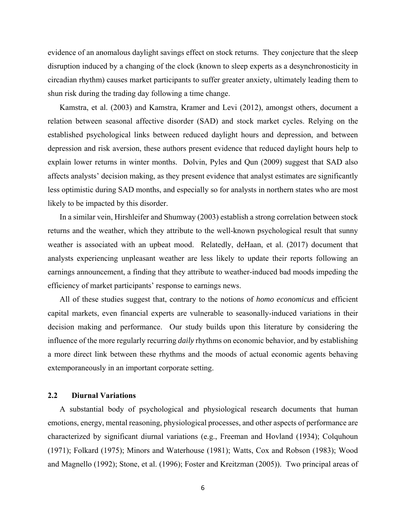evidence of an anomalous daylight savings effect on stock returns. They conjecture that the sleep disruption induced by a changing of the clock (known to sleep experts as a desynchronosticity in circadian rhythm) causes market participants to suffer greater anxiety, ultimately leading them to shun risk during the trading day following a time change.

Kamstra, et al. (2003) and Kamstra, Kramer and Levi (2012), amongst others, document a relation between seasonal affective disorder (SAD) and stock market cycles. Relying on the established psychological links between reduced daylight hours and depression, and between depression and risk aversion, these authors present evidence that reduced daylight hours help to explain lower returns in winter months. Dolvin, Pyles and Qun (2009) suggest that SAD also affects analysts' decision making, as they present evidence that analyst estimates are significantly less optimistic during SAD months, and especially so for analysts in northern states who are most likely to be impacted by this disorder.

In a similar vein, Hirshleifer and Shumway (2003) establish a strong correlation between stock returns and the weather, which they attribute to the well-known psychological result that sunny weather is associated with an upbeat mood. Relatedly, deHaan, et al. (2017) document that analysts experiencing unpleasant weather are less likely to update their reports following an earnings announcement, a finding that they attribute to weather-induced bad moods impeding the efficiency of market participants' response to earnings news.

All of these studies suggest that, contrary to the notions of *homo economicus* and efficient capital markets, even financial experts are vulnerable to seasonally-induced variations in their decision making and performance. Our study builds upon this literature by considering the influence of the more regularly recurring *daily* rhythms on economic behavior, and by establishing a more direct link between these rhythms and the moods of actual economic agents behaving extemporaneously in an important corporate setting.

### **2.2 Diurnal Variations**

A substantial body of psychological and physiological research documents that human emotions, energy, mental reasoning, physiological processes, and other aspects of performance are characterized by significant diurnal variations (e.g., Freeman and Hovland (1934); Colquhoun (1971); Folkard (1975); Minors and Waterhouse (1981); Watts, Cox and Robson (1983); Wood and Magnello (1992); Stone, et al. (1996); Foster and Kreitzman (2005)). Two principal areas of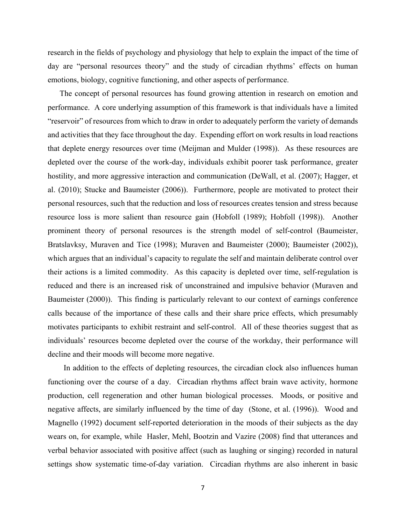research in the fields of psychology and physiology that help to explain the impact of the time of day are "personal resources theory" and the study of circadian rhythms' effects on human emotions, biology, cognitive functioning, and other aspects of performance.

The concept of personal resources has found growing attention in research on emotion and performance. A core underlying assumption of this framework is that individuals have a limited "reservoir" of resources from which to draw in order to adequately perform the variety of demands and activities that they face throughout the day. Expending effort on work results in load reactions that deplete energy resources over time (Meijman and Mulder (1998)). As these resources are depleted over the course of the work-day, individuals exhibit poorer task performance, greater hostility, and more aggressive interaction and communication (DeWall, et al. (2007); Hagger, et al. (2010); Stucke and Baumeister (2006)). Furthermore, people are motivated to protect their personal resources, such that the reduction and loss of resources creates tension and stress because resource loss is more salient than resource gain (Hobfoll (1989); Hobfoll (1998)). Another prominent theory of personal resources is the strength model of self-control (Baumeister, Bratslavksy, Muraven and Tice (1998); Muraven and Baumeister (2000); Baumeister (2002)), which argues that an individual's capacity to regulate the self and maintain deliberate control over their actions is a limited commodity. As this capacity is depleted over time, self-regulation is reduced and there is an increased risk of unconstrained and impulsive behavior (Muraven and Baumeister (2000)). This finding is particularly relevant to our context of earnings conference calls because of the importance of these calls and their share price effects, which presumably motivates participants to exhibit restraint and self-control. All of these theories suggest that as individuals' resources become depleted over the course of the workday, their performance will decline and their moods will become more negative.

 In addition to the effects of depleting resources, the circadian clock also influences human functioning over the course of a day. Circadian rhythms affect brain wave activity, hormone production, cell regeneration and other human biological processes. Moods, or positive and negative affects, are similarly influenced by the time of day (Stone, et al. (1996)). Wood and Magnello (1992) document self-reported deterioration in the moods of their subjects as the day wears on, for example, while Hasler, Mehl, Bootzin and Vazire (2008) find that utterances and verbal behavior associated with positive affect (such as laughing or singing) recorded in natural settings show systematic time-of-day variation. Circadian rhythms are also inherent in basic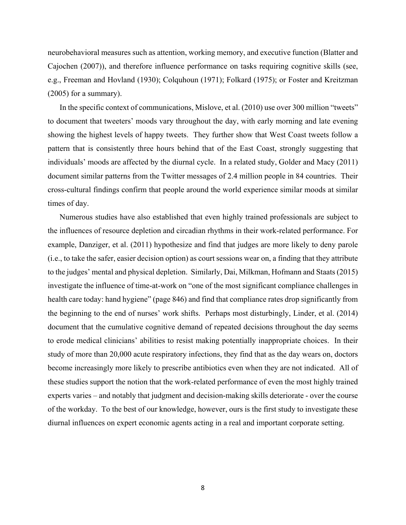neurobehavioral measures such as attention, working memory, and executive function (Blatter and Cajochen (2007)), and therefore influence performance on tasks requiring cognitive skills (see, e.g., Freeman and Hovland (1930); Colquhoun (1971); Folkard (1975); or Foster and Kreitzman (2005) for a summary).

In the specific context of communications, Mislove, et al. (2010) use over 300 million "tweets" to document that tweeters' moods vary throughout the day, with early morning and late evening showing the highest levels of happy tweets. They further show that West Coast tweets follow a pattern that is consistently three hours behind that of the East Coast, strongly suggesting that individuals' moods are affected by the diurnal cycle. In a related study, Golder and Macy (2011) document similar patterns from the Twitter messages of 2.4 million people in 84 countries. Their cross-cultural findings confirm that people around the world experience similar moods at similar times of day.

Numerous studies have also established that even highly trained professionals are subject to the influences of resource depletion and circadian rhythms in their work-related performance. For example, Danziger, et al. (2011) hypothesize and find that judges are more likely to deny parole (i.e., to take the safer, easier decision option) as court sessions wear on, a finding that they attribute to the judges' mental and physical depletion. Similarly, Dai, Milkman, Hofmann and Staats (2015) investigate the influence of time-at-work on "one of the most significant compliance challenges in health care today: hand hygiene" (page 846) and find that compliance rates drop significantly from the beginning to the end of nurses' work shifts. Perhaps most disturbingly, Linder, et al. (2014) document that the cumulative cognitive demand of repeated decisions throughout the day seems to erode medical clinicians' abilities to resist making potentially inappropriate choices. In their study of more than 20,000 acute respiratory infections, they find that as the day wears on, doctors become increasingly more likely to prescribe antibiotics even when they are not indicated. All of these studies support the notion that the work-related performance of even the most highly trained experts varies – and notably that judgment and decision-making skills deteriorate - over the course of the workday. To the best of our knowledge, however, ours is the first study to investigate these diurnal influences on expert economic agents acting in a real and important corporate setting.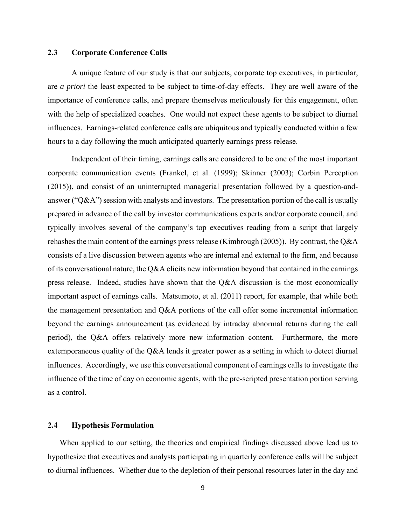### **2.3 Corporate Conference Calls**

A unique feature of our study is that our subjects, corporate top executives, in particular, are *a priori* the least expected to be subject to time-of-day effects. They are well aware of the importance of conference calls, and prepare themselves meticulously for this engagement, often with the help of specialized coaches. One would not expect these agents to be subject to diurnal influences. Earnings-related conference calls are ubiquitous and typically conducted within a few hours to a day following the much anticipated quarterly earnings press release.

Independent of their timing, earnings calls are considered to be one of the most important corporate communication events (Frankel, et al. (1999); Skinner (2003); Corbin Perception (2015)), and consist of an uninterrupted managerial presentation followed by a question-andanswer ("Q&A") session with analysts and investors. The presentation portion of the call is usually prepared in advance of the call by investor communications experts and/or corporate council, and typically involves several of the company's top executives reading from a script that largely rehashes the main content of the earnings press release (Kimbrough (2005)). By contrast, the Q&A consists of a live discussion between agents who are internal and external to the firm, and because of its conversational nature, the  $Q\&A$  elicits new information beyond that contained in the earnings press release. Indeed, studies have shown that the Q&A discussion is the most economically important aspect of earnings calls. Matsumoto, et al. (2011) report, for example, that while both the management presentation and Q&A portions of the call offer some incremental information beyond the earnings announcement (as evidenced by intraday abnormal returns during the call period), the Q&A offers relatively more new information content. Furthermore, the more extemporaneous quality of the Q&A lends it greater power as a setting in which to detect diurnal influences. Accordingly, we use this conversational component of earnings calls to investigate the influence of the time of day on economic agents, with the pre-scripted presentation portion serving as a control.

### **2.4 Hypothesis Formulation**

When applied to our setting, the theories and empirical findings discussed above lead us to hypothesize that executives and analysts participating in quarterly conference calls will be subject to diurnal influences. Whether due to the depletion of their personal resources later in the day and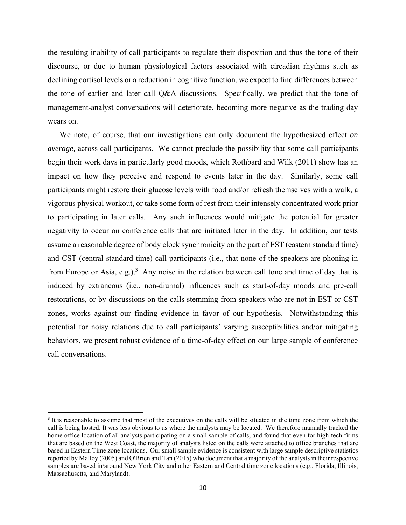the resulting inability of call participants to regulate their disposition and thus the tone of their discourse, or due to human physiological factors associated with circadian rhythms such as declining cortisol levels or a reduction in cognitive function, we expect to find differences between the tone of earlier and later call Q&A discussions. Specifically, we predict that the tone of management-analyst conversations will deteriorate, becoming more negative as the trading day wears on.

We note, of course, that our investigations can only document the hypothesized effect *on average,* across call participants. We cannot preclude the possibility that some call participants begin their work days in particularly good moods, which Rothbard and Wilk (2011) show has an impact on how they perceive and respond to events later in the day. Similarly, some call participants might restore their glucose levels with food and/or refresh themselves with a walk, a vigorous physical workout, or take some form of rest from their intensely concentrated work prior to participating in later calls. Any such influences would mitigate the potential for greater negativity to occur on conference calls that are initiated later in the day. In addition, our tests assume a reasonable degree of body clock synchronicity on the part of EST (eastern standard time) and CST (central standard time) call participants (i.e., that none of the speakers are phoning in from Europe or Asia, e.g.).<sup>3</sup> Any noise in the relation between call tone and time of day that is induced by extraneous (i.e., non-diurnal) influences such as start-of-day moods and pre-call restorations, or by discussions on the calls stemming from speakers who are not in EST or CST zones, works against our finding evidence in favor of our hypothesis. Notwithstanding this potential for noisy relations due to call participants' varying susceptibilities and/or mitigating behaviors, we present robust evidence of a time-of-day effect on our large sample of conference call conversations.

<sup>&</sup>lt;sup>3</sup> It is reasonable to assume that most of the executives on the calls will be situated in the time zone from which the call is being hosted. It was less obvious to us where the analysts may be located. We therefore manually tracked the home office location of all analysts participating on a small sample of calls, and found that even for high-tech firms that are based on the West Coast, the majority of analysts listed on the calls were attached to office branches that are based in Eastern Time zone locations. Our small sample evidence is consistent with large sample descriptive statistics reported by Malloy (2005) and O'Brien and Tan (2015) who document that a majority of the analysts in their respective samples are based in/around New York City and other Eastern and Central time zone locations (e.g., Florida, Illinois, Massachusetts, and Maryland).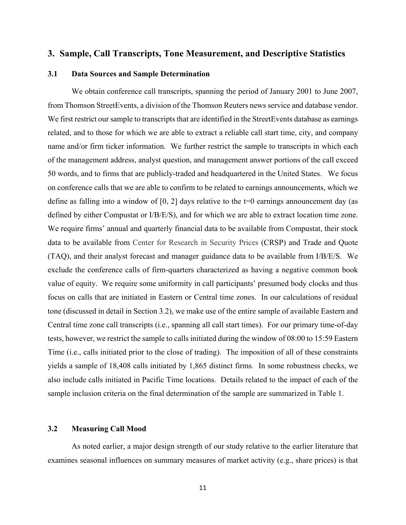### **3. Sample, Call Transcripts, Tone Measurement, and Descriptive Statistics**

### **3.1 Data Sources and Sample Determination**

We obtain conference call transcripts, spanning the period of January 2001 to June 2007, from Thomson StreetEvents, a division of the Thomson Reuters news service and database vendor. We first restrict our sample to transcripts that are identified in the StreetEvents database as earnings related, and to those for which we are able to extract a reliable call start time, city, and company name and/or firm ticker information. We further restrict the sample to transcripts in which each of the management address, analyst question, and management answer portions of the call exceed 50 words, and to firms that are publicly-traded and headquartered in the United States. We focus on conference calls that we are able to confirm to be related to earnings announcements, which we define as falling into a window of  $[0, 2]$  days relative to the t=0 earnings announcement day (as defined by either Compustat or I/B/E/S), and for which we are able to extract location time zone. We require firms' annual and quarterly financial data to be available from Compustat, their stock data to be available from Center for Research in Security Prices (CRSP) and Trade and Quote (TAQ), and their analyst forecast and manager guidance data to be available from I/B/E/S. We exclude the conference calls of firm-quarters characterized as having a negative common book value of equity. We require some uniformity in call participants' presumed body clocks and thus focus on calls that are initiated in Eastern or Central time zones. In our calculations of residual tone (discussed in detail in Section 3.2), we make use of the entire sample of available Eastern and Central time zone call transcripts (i.e., spanning all call start times). For our primary time-of-day tests, however, we restrict the sample to calls initiated during the window of 08:00 to 15:59 Eastern Time (i.e., calls initiated prior to the close of trading). The imposition of all of these constraints yields a sample of 18,408 calls initiated by 1,865 distinct firms. In some robustness checks, we also include calls initiated in Pacific Time locations. Details related to the impact of each of the sample inclusion criteria on the final determination of the sample are summarized in Table 1.

### **3.2 Measuring Call Mood**

As noted earlier, a major design strength of our study relative to the earlier literature that examines seasonal influences on summary measures of market activity (e.g., share prices) is that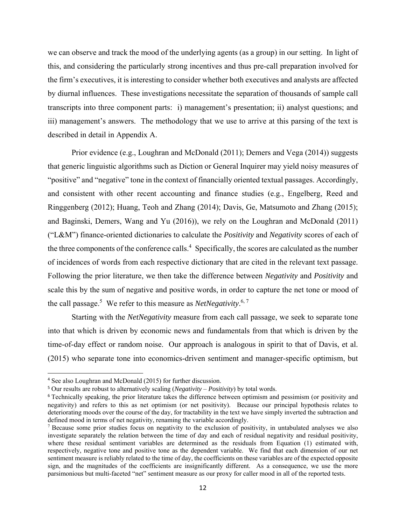we can observe and track the mood of the underlying agents (as a group) in our setting. In light of this, and considering the particularly strong incentives and thus pre-call preparation involved for the firm's executives, it is interesting to consider whether both executives and analysts are affected by diurnal influences. These investigations necessitate the separation of thousands of sample call transcripts into three component parts: i) management's presentation; ii) analyst questions; and iii) management's answers. The methodology that we use to arrive at this parsing of the text is described in detail in Appendix A.

Prior evidence (e.g., Loughran and McDonald (2011); Demers and Vega (2014)) suggests that generic linguistic algorithms such as Diction or General Inquirer may yield noisy measures of "positive" and "negative" tone in the context of financially oriented textual passages. Accordingly, and consistent with other recent accounting and finance studies (e.g., Engelberg, Reed and Ringgenberg (2012); Huang, Teoh and Zhang (2014); Davis, Ge, Matsumoto and Zhang (2015); and Baginski, Demers, Wang and Yu (2016)), we rely on the Loughran and McDonald (2011) ("L&M") finance-oriented dictionaries to calculate the *Positivity* and *Negativity* scores of each of the three components of the conference calls.<sup>4</sup> Specifically, the scores are calculated as the number of incidences of words from each respective dictionary that are cited in the relevant text passage. Following the prior literature, we then take the difference between *Negativity* and *Positivity* and scale this by the sum of negative and positive words, in order to capture the net tone or mood of the call passage.<sup>5</sup> We refer to this measure as *NetNegativity*.<sup>6,7</sup>

Starting with the *NetNegativity* measure from each call passage, we seek to separate tone into that which is driven by economic news and fundamentals from that which is driven by the time-of-day effect or random noise. Our approach is analogous in spirit to that of Davis, et al. (2015) who separate tone into economics-driven sentiment and manager-specific optimism, but

<sup>4</sup> See also Loughran and McDonald (2015) for further discussion.

<sup>5</sup> Our results are robust to alternatively scaling (*Negativity* – *Positivity*) by total words.

<sup>6</sup> Technically speaking, the prior literature takes the difference between optimism and pessimism (or positivity and negativity) and refers to this as net optimism (or net positivity). Because our principal hypothesis relates to deteriorating moods over the course of the day, for tractability in the text we have simply inverted the subtraction and defined mood in terms of net negativity, renaming the variable accordingly.<br><sup>7</sup> Because some prior studies focus on negativity to the exclusion of positivity, in untabulated analyses we also

investigate separately the relation between the time of day and each of residual negativity and residual positivity, where these residual sentiment variables are determined as the residuals from Equation (1) estimated with, respectively, negative tone and positive tone as the dependent variable. We find that each dimension of our net sentiment measure is reliably related to the time of day, the coefficients on these variables are of the expected opposite sign, and the magnitudes of the coefficients are insignificantly different. As a consequence, we use the more parsimonious but multi-faceted "net" sentiment measure as our proxy for caller mood in all of the reported tests.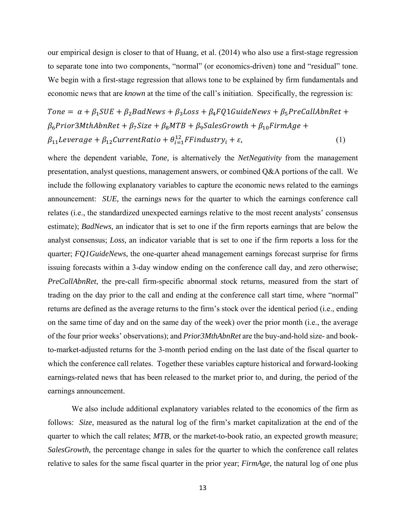our empirical design is closer to that of Huang, et al. (2014) who also use a first-stage regression to separate tone into two components, "normal" (or economics-driven) tone and "residual" tone. We begin with a first-stage regression that allows tone to be explained by firm fundamentals and economic news that are *known* at the time of the call's initiation. Specifically, the regression is:

$$
Tone = \alpha + \beta_1 SUE + \beta_2 BadNews + \beta_3 Loss + \beta_4 FQ1 GuideNews + \beta_5 PreCallAbnRet + \beta_6 Prior3MthAbnRet + \beta_7 Size + \beta_8 MTB + \beta_9 SalesGrowth + \beta_{10} FirmAge + \beta_{11} Leverage + \beta_{12} CurrentRatio + \theta_{i=1}^{12} FF industry_i + \varepsilon,
$$
\n(1)

where the dependent variable, *Tone,* is alternatively the *NetNegativity* from the management presentation, analyst questions, management answers, or combined Q&A portions of the call. We include the following explanatory variables to capture the economic news related to the earnings announcement: *SUE,* the earnings news for the quarter to which the earnings conference call relates (i.e., the standardized unexpected earnings relative to the most recent analysts' consensus estimate); *BadNews,* an indicator that is set to one if the firm reports earnings that are below the analyst consensus; *Loss,* an indicator variable that is set to one if the firm reports a loss for the quarter; *FQ1GuideNews,* the one-quarter ahead management earnings forecast surprise for firms issuing forecasts within a 3-day window ending on the conference call day, and zero otherwise; *PreCallAbnRet*, the pre-call firm-specific abnormal stock returns, measured from the start of trading on the day prior to the call and ending at the conference call start time, where "normal" returns are defined as the average returns to the firm's stock over the identical period (i.e., ending on the same time of day and on the same day of the week) over the prior month (i.e., the average of the four prior weeks' observations); and *Prior3MthAbnRet* are the buy-and-hold size- and bookto-market-adjusted returns for the 3-month period ending on the last date of the fiscal quarter to which the conference call relates. Together these variables capture historical and forward-looking earnings-related news that has been released to the market prior to, and during, the period of the earnings announcement.

We also include additional explanatory variables related to the economics of the firm as follows: *Size,* measured as the natural log of the firm's market capitalization at the end of the quarter to which the call relates; *MTB*, or the market-to-book ratio, an expected growth measure; *SalesGrowth,* the percentage change in sales for the quarter to which the conference call relates relative to sales for the same fiscal quarter in the prior year; *FirmAge,* the natural log of one plus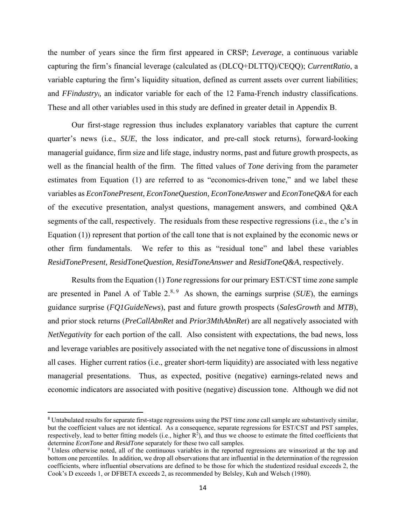the number of years since the firm first appeared in CRSP; *Leverage*, a continuous variable capturing the firm's financial leverage (calculated as (DLCQ+DLTTQ)/CEQQ); *CurrentRatio*, a variable capturing the firm's liquidity situation, defined as current assets over current liabilities; and *FFindustryi,* an indicator variable for each of the 12 Fama-French industry classifications. These and all other variables used in this study are defined in greater detail in Appendix B.

Our first-stage regression thus includes explanatory variables that capture the current quarter's news (i.e., *SUE*, the loss indicator, and pre-call stock returns), forward-looking managerial guidance, firm size and life stage, industry norms, past and future growth prospects, as well as the financial health of the firm. The fitted values of *Tone* deriving from the parameter estimates from Equation (1) are referred to as "economics-driven tone," and we label these variables as *EconTonePresent, EconToneQuestion, EconToneAnswer* and *EconToneQ&A* for each of the executive presentation, analyst questions, management answers, and combined Q&A segments of the call, respectively. The residuals from these respective regressions (i.e., the ε's in Equation (1)) represent that portion of the call tone that is not explained by the economic news or other firm fundamentals. We refer to this as "residual tone" and label these variables *ResidTonePresent, ResidToneQuestion, ResidToneAnswer* and *ResidToneQ&A*, respectively.

Results from the Equation (1) *Tone* regressions for our primary EST/CST time zone sample are presented in Panel A of Table  $2^{8,9}$ . As shown, the earnings surprise (*SUE*), the earnings guidance surprise (*FQ1GuideNews*), past and future growth prospects (*SalesGrowth* and *MTB*), and prior stock returns (*PreCallAbnRet* and *Prior3MthAbnRet*) are all negatively associated with *NetNegativity* for each portion of the call. Also consistent with expectations, the bad news, loss and leverage variables are positively associated with the net negative tone of discussions in almost all cases. Higher current ratios (i.e., greater short-term liquidity) are associated with less negative managerial presentations. Thus, as expected, positive (negative) earnings-related news and economic indicators are associated with positive (negative) discussion tone. Although we did not

<sup>8</sup> Untabulated results for separate first-stage regressions using the PST time zone call sample are substantively similar, but the coefficient values are not identical. As a consequence, separate regressions for EST/CST and PST samples, respectively, lead to better fitting models (i.e., higher  $R^2$ ), and thus we choose to estimate the fitted coefficients that determine *EconTone* and *ResidTone* separately for these two call samples.

<sup>&</sup>lt;sup>9</sup> Unless otherwise noted, all of the continuous variables in the reported regressions are winsorized at the top and bottom one percentiles. In addition, we drop all observations that are influential in the determination of the regression coefficients, where influential observations are defined to be those for which the studentized residual exceeds 2, the Cook's D exceeds 1, or DFBETA exceeds 2, as recommended by Belsley, Kuh and Welsch (1980).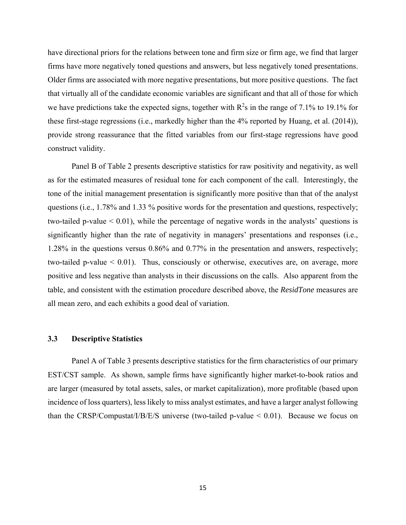have directional priors for the relations between tone and firm size or firm age, we find that larger firms have more negatively toned questions and answers, but less negatively toned presentations. Older firms are associated with more negative presentations, but more positive questions. The fact that virtually all of the candidate economic variables are significant and that all of those for which we have predictions take the expected signs, together with  $R^2$ s in the range of 7.1% to 19.1% for these first-stage regressions (i.e., markedly higher than the 4% reported by Huang, et al. (2014)), provide strong reassurance that the fitted variables from our first-stage regressions have good construct validity.

Panel B of Table 2 presents descriptive statistics for raw positivity and negativity, as well as for the estimated measures of residual tone for each component of the call. Interestingly, the tone of the initial management presentation is significantly more positive than that of the analyst questions (i.e., 1.78% and 1.33 % positive words for the presentation and questions, respectively; two-tailed p-value  $< 0.01$ ), while the percentage of negative words in the analysts' questions is significantly higher than the rate of negativity in managers' presentations and responses (i.e., 1.28% in the questions versus 0.86% and 0.77% in the presentation and answers, respectively; two-tailed p-value  $< 0.01$ ). Thus, consciously or otherwise, executives are, on average, more positive and less negative than analysts in their discussions on the calls. Also apparent from the table, and consistent with the estimation procedure described above, the *ResidTone* measures are all mean zero, and each exhibits a good deal of variation.

### **3.3 Descriptive Statistics**

Panel A of Table 3 presents descriptive statistics for the firm characteristics of our primary EST/CST sample. As shown, sample firms have significantly higher market-to-book ratios and are larger (measured by total assets, sales, or market capitalization), more profitable (based upon incidence of loss quarters), less likely to miss analyst estimates, and have a larger analyst following than the CRSP/Compustat/I/B/E/S universe (two-tailed p-value  $\leq$  0.01). Because we focus on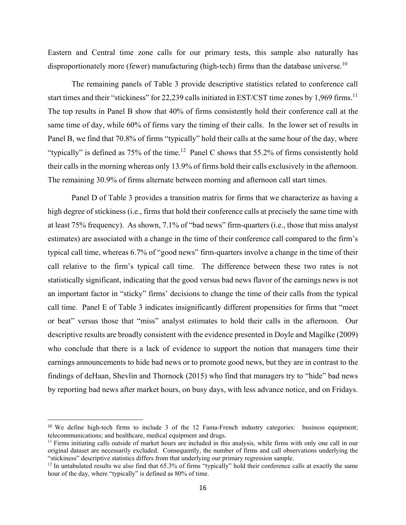Eastern and Central time zone calls for our primary tests, this sample also naturally has disproportionately more (fewer) manufacturing (high-tech) firms than the database universe.<sup>10</sup>

 The remaining panels of Table 3 provide descriptive statistics related to conference call start times and their "stickiness" for 22,239 calls initiated in EST/CST time zones by 1,969 firms.<sup>11</sup> The top results in Panel B show that 40% of firms consistently hold their conference call at the same time of day, while 60% of firms vary the timing of their calls. In the lower set of results in Panel B, we find that 70.8% of firms "typically" hold their calls at the same hour of the day, where "typically" is defined as  $75\%$  of the time.<sup>12</sup> Panel C shows that  $55.2\%$  of firms consistently hold their calls in the morning whereas only 13.9% of firms hold their calls exclusively in the afternoon. The remaining 30.9% of firms alternate between morning and afternoon call start times.

 Panel D of Table 3 provides a transition matrix for firms that we characterize as having a high degree of stickiness (i.e., firms that hold their conference calls at precisely the same time with at least 75% frequency). As shown, 7.1% of "bad news" firm-quarters (i.e., those that miss analyst estimates) are associated with a change in the time of their conference call compared to the firm's typical call time, whereas 6.7% of "good news" firm-quarters involve a change in the time of their call relative to the firm's typical call time. The difference between these two rates is not statistically significant, indicating that the good versus bad news flavor of the earnings news is not an important factor in "sticky" firms' decisions to change the time of their calls from the typical call time. Panel E of Table 3 indicates insignificantly different propensities for firms that "meet or beat" versus those that "miss" analyst estimates to hold their calls in the afternoon. Our descriptive results are broadly consistent with the evidence presented in Doyle and Magilke (2009) who conclude that there is a lack of evidence to support the notion that managers time their earnings announcements to hide bad news or to promote good news, but they are in contrast to the findings of deHaan, Shevlin and Thornock (2015) who find that managers try to "hide" bad news by reporting bad news after market hours, on busy days, with less advance notice, and on Fridays.

<sup>&</sup>lt;sup>10</sup> We define high-tech firms to include 3 of the 12 Fama-French industry categories: business equipment; telecommunications; and healthcare, medical equipment and drugs.

 $11$  Firms initiating calls outside of market hours are included in this analysis, while firms with only one call in our original dataset are necessarily excluded. Consequently, the number of firms and call observations underlying the "stickiness" descriptive statistics differs from that underlying our primary regression sample.

 $12$  In untabulated results we also find that 65.3% of firms "typically" hold their conference calls at exactly the same hour of the day, where "typically" is defined as 80% of time.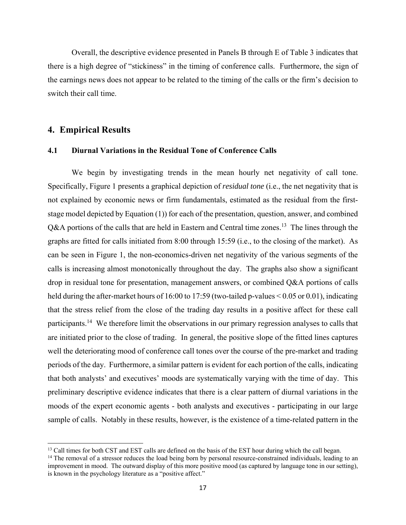Overall, the descriptive evidence presented in Panels B through E of Table 3 indicates that there is a high degree of "stickiness" in the timing of conference calls. Furthermore, the sign of the earnings news does not appear to be related to the timing of the calls or the firm's decision to switch their call time.

## **4. Empirical Results**

### **4.1 Diurnal Variations in the Residual Tone of Conference Calls**

We begin by investigating trends in the mean hourly net negativity of call tone. Specifically, Figure 1 presents a graphical depiction of *residual tone* (i.e., the net negativity that is not explained by economic news or firm fundamentals, estimated as the residual from the firststage model depicted by Equation (1)) for each of the presentation, question, answer, and combined Q&A portions of the calls that are held in Eastern and Central time zones.<sup>13</sup> The lines through the graphs are fitted for calls initiated from 8:00 through 15:59 (i.e., to the closing of the market). As can be seen in Figure 1, the non-economics-driven net negativity of the various segments of the calls is increasing almost monotonically throughout the day. The graphs also show a significant drop in residual tone for presentation, management answers, or combined Q&A portions of calls held during the after-market hours of 16:00 to 17:59 (two-tailed p-values  $\leq 0.05$  or 0.01), indicating that the stress relief from the close of the trading day results in a positive affect for these call participants.14 We therefore limit the observations in our primary regression analyses to calls that are initiated prior to the close of trading. In general, the positive slope of the fitted lines captures well the deteriorating mood of conference call tones over the course of the pre-market and trading periods of the day. Furthermore, a similar pattern is evident for each portion of the calls, indicating that both analysts' and executives' moods are systematically varying with the time of day. This preliminary descriptive evidence indicates that there is a clear pattern of diurnal variations in the moods of the expert economic agents - both analysts and executives - participating in our large sample of calls. Notably in these results, however, is the existence of a time-related pattern in the

 $^{13}$  Call times for both CST and EST calls are defined on the basis of the EST hour during which the call began.<br><sup>14</sup> The removal of a stressor reduces the load being born by personal resource-constrained individuals, l

improvement in mood. The outward display of this more positive mood (as captured by language tone in our setting), is known in the psychology literature as a "positive affect."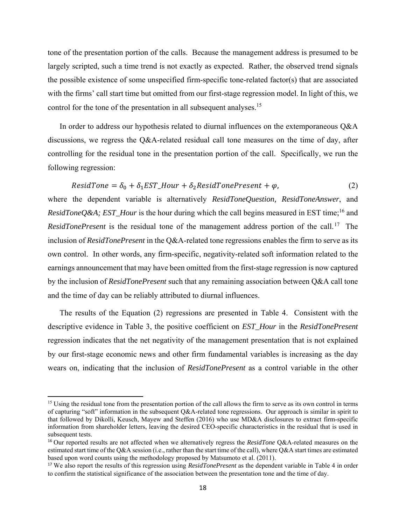tone of the presentation portion of the calls. Because the management address is presumed to be largely scripted, such a time trend is not exactly as expected. Rather, the observed trend signals the possible existence of some unspecified firm-specific tone-related factor(s) that are associated with the firms' call start time but omitted from our first-stage regression model. In light of this, we control for the tone of the presentation in all subsequent analyses.<sup>15</sup>

In order to address our hypothesis related to diurnal influences on the extemporaneous Q&A discussions, we regress the Q&A-related residual call tone measures on the time of day, after controlling for the residual tone in the presentation portion of the call. Specifically, we run the following regression:

$$
ResidTone = \delta_0 + \delta_1 EST_Hour + \delta_2 ResidTonePresent + \varphi,
$$
\n(2)

where the dependent variable is alternatively *ResidToneQuestion, ResidToneAnswer*, and *ResidToneQ&A; EST\_Hour* is the hour during which the call begins measured in EST time;<sup>16</sup> and *ResidTonePresent* is the residual tone of the management address portion of the call.<sup>17</sup> The inclusion of *ResidTonePresent* in the Q&A-related tone regressions enables the firm to serve as its own control. In other words, any firm-specific, negativity-related soft information related to the earnings announcement that may have been omitted from the first-stage regression is now captured by the inclusion of *ResidTonePresent* such that any remaining association between Q&A call tone and the time of day can be reliably attributed to diurnal influences.

The results of the Equation (2) regressions are presented in Table 4. Consistent with the descriptive evidence in Table 3, the positive coefficient on *EST\_Hour* in the *ResidTonePresent* regression indicates that the net negativity of the management presentation that is not explained by our first-stage economic news and other firm fundamental variables is increasing as the day wears on, indicating that the inclusion of *ResidTonePresent* as a control variable in the other

<sup>&</sup>lt;sup>15</sup> Using the residual tone from the presentation portion of the call allows the firm to serve as its own control in terms of capturing "soft" information in the subsequent Q&A-related tone regressions. Our approach is similar in spirit to that followed by Dikolli, Keusch, Mayew and Steffen (2016) who use MD&A disclosures to extract firm-specific information from shareholder letters, leaving the desired CEO-specific characteristics in the residual that is used in subsequent tests.

<sup>16</sup> Our reported results are not affected when we alternatively regress the *ResidTone* Q&A-related measures on the estimated start time of the Q&A session (i.e., rather than the start time of the call), where Q&A start times are estimated based upon word counts using the methodology proposed by Matsumoto et al. (2011).

<sup>17</sup> We also report the results of this regression using *ResidTonePresent* as the dependent variable in Table 4 in order to confirm the statistical significance of the association between the presentation tone and the time of day.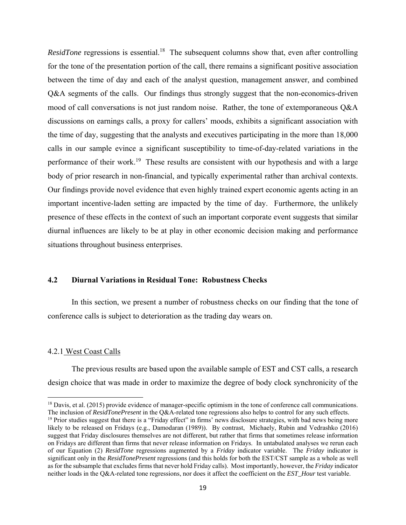*ResidTone* regressions is essential.<sup>18</sup> The subsequent columns show that, even after controlling for the tone of the presentation portion of the call, there remains a significant positive association between the time of day and each of the analyst question, management answer, and combined Q&A segments of the calls. Our findings thus strongly suggest that the non-economics-driven mood of call conversations is not just random noise. Rather, the tone of extemporaneous Q&A discussions on earnings calls, a proxy for callers' moods, exhibits a significant association with the time of day, suggesting that the analysts and executives participating in the more than 18,000 calls in our sample evince a significant susceptibility to time-of-day-related variations in the performance of their work.<sup>19</sup> These results are consistent with our hypothesis and with a large body of prior research in non-financial, and typically experimental rather than archival contexts. Our findings provide novel evidence that even highly trained expert economic agents acting in an important incentive-laden setting are impacted by the time of day. Furthermore, the unlikely presence of these effects in the context of such an important corporate event suggests that similar diurnal influences are likely to be at play in other economic decision making and performance situations throughout business enterprises.

### **4.2 Diurnal Variations in Residual Tone: Robustness Checks**

In this section, we present a number of robustness checks on our finding that the tone of conference calls is subject to deterioration as the trading day wears on.

### 4.2.1 West Coast Calls

 The previous results are based upon the available sample of EST and CST calls, a research design choice that was made in order to maximize the degree of body clock synchronicity of the

 $18$  Davis, et al. (2015) provide evidence of manager-specific optimism in the tone of conference call communications. The inclusion of *ResidTonePresent* in the Q&A-related tone regressions also helps to control for any such effects.

<sup>&</sup>lt;sup>19</sup> Prior studies suggest that there is a "Friday effect" in firms' news disclosure strategies, with bad news being more likely to be released on Fridays (e.g., Damodaran (1989)). By contrast, Michaely, Rubin and Vedrashko (2016) suggest that Friday disclosures themselves are not different, but rather that firms that sometimes release information on Fridays are different than firms that never release information on Fridays. In untabulated analyses we rerun each of our Equation (2) *ResidTone* regressions augmented by a *Friday* indicator variable. The *Friday* indicator is significant only in the *ResidTonePresent* regressions (and this holds for both the EST/CST sample as a whole as well as for the subsample that excludes firms that never hold Friday calls). Most importantly, however, the *Friday* indicator neither loads in the Q&A-related tone regressions, nor does it affect the coefficient on the *EST\_Hour* test variable.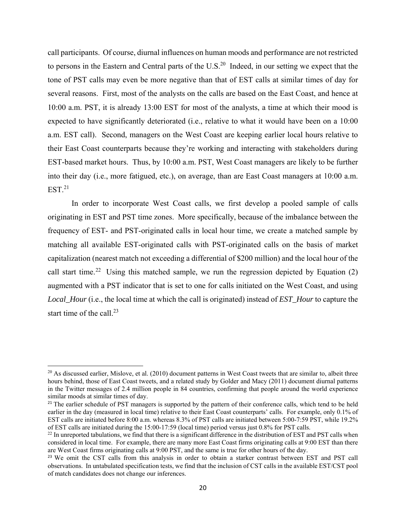call participants. Of course, diurnal influences on human moods and performance are not restricted to persons in the Eastern and Central parts of the U.S.<sup>20</sup> Indeed, in our setting we expect that the tone of PST calls may even be more negative than that of EST calls at similar times of day for several reasons. First, most of the analysts on the calls are based on the East Coast, and hence at 10:00 a.m. PST, it is already 13:00 EST for most of the analysts, a time at which their mood is expected to have significantly deteriorated (i.e., relative to what it would have been on a 10:00 a.m. EST call). Second, managers on the West Coast are keeping earlier local hours relative to their East Coast counterparts because they're working and interacting with stakeholders during EST-based market hours. Thus, by 10:00 a.m. PST, West Coast managers are likely to be further into their day (i.e., more fatigued, etc.), on average, than are East Coast managers at 10:00 a.m.  $EST.<sup>21</sup>$ 

In order to incorporate West Coast calls, we first develop a pooled sample of calls originating in EST and PST time zones. More specifically, because of the imbalance between the frequency of EST- and PST-originated calls in local hour time, we create a matched sample by matching all available EST-originated calls with PST-originated calls on the basis of market capitalization (nearest match not exceeding a differential of \$200 million) and the local hour of the call start time.<sup>22</sup> Using this matched sample, we run the regression depicted by Equation (2) augmented with a PST indicator that is set to one for calls initiated on the West Coast, and using *Local\_Hour* (i.e., the local time at which the call is originated) instead of *EST\_Hour* to capture the start time of the call. $23$ 

 $20$  As discussed earlier, Mislove, et al. (2010) document patterns in West Coast tweets that are similar to, albeit three hours behind, those of East Coast tweets, and a related study by Golder and Macy (2011) document diurnal patterns in the Twitter messages of 2.4 million people in 84 countries, confirming that people around the world experience similar moods at similar times of day.

<sup>&</sup>lt;sup>21</sup> The earlier schedule of PST managers is supported by the pattern of their conference calls, which tend to be held earlier in the day (measured in local time) relative to their East Coast counterparts' calls. For example, only 0.1% of EST calls are initiated before 8:00 a.m. whereas 8.3% of PST calls are initiated between 5:00-7:59 PST, while 19.2% of EST calls are initiated during the 15:00-17:59 (local time) period versus just 0.8% for PST calls.

 $^{22}$  In unreported tabulations, we find that there is a significant difference in the distribution of EST and PST calls when considered in local time. For example, there are many more East Coast firms originating calls at 9:00 EST than there are West Coast firms originating calls at 9:00 PST, and the same is true for other hours of the day.

<sup>&</sup>lt;sup>23</sup> We omit the CST calls from this analysis in order to obtain a starker contrast between EST and PST call observations. In untabulated specification tests, we find that the inclusion of CST calls in the available EST/CST pool of match candidates does not change our inferences.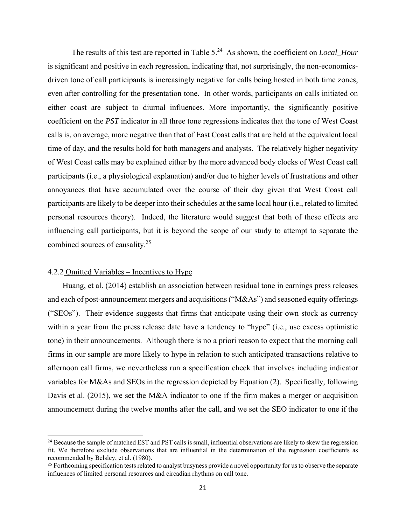The results of this test are reported in Table 5.<sup>24</sup> As shown, the coefficient on *Local\_Hour* is significant and positive in each regression, indicating that, not surprisingly, the non-economicsdriven tone of call participants is increasingly negative for calls being hosted in both time zones, even after controlling for the presentation tone. In other words, participants on calls initiated on either coast are subject to diurnal influences. More importantly, the significantly positive coefficient on the *PST* indicator in all three tone regressions indicates that the tone of West Coast calls is, on average, more negative than that of East Coast calls that are held at the equivalent local time of day, and the results hold for both managers and analysts. The relatively higher negativity of West Coast calls may be explained either by the more advanced body clocks of West Coast call participants (i.e., a physiological explanation) and/or due to higher levels of frustrations and other annoyances that have accumulated over the course of their day given that West Coast call participants are likely to be deeper into their schedules at the same local hour (i.e., related to limited personal resources theory). Indeed, the literature would suggest that both of these effects are influencing call participants, but it is beyond the scope of our study to attempt to separate the combined sources of causality.25

### 4.2.2 Omitted Variables – Incentives to Hype

 Huang, et al. (2014) establish an association between residual tone in earnings press releases and each of post-announcement mergers and acquisitions ("M&As") and seasoned equity offerings ("SEOs"). Their evidence suggests that firms that anticipate using their own stock as currency within a year from the press release date have a tendency to "hype" (i.e., use excess optimistic tone) in their announcements. Although there is no a priori reason to expect that the morning call firms in our sample are more likely to hype in relation to such anticipated transactions relative to afternoon call firms, we nevertheless run a specification check that involves including indicator variables for M&As and SEOs in the regression depicted by Equation (2). Specifically, following Davis et al. (2015), we set the M&A indicator to one if the firm makes a merger or acquisition announcement during the twelve months after the call, and we set the SEO indicator to one if the

<sup>&</sup>lt;sup>24</sup> Because the sample of matched EST and PST calls is small, influential observations are likely to skew the regression fit. We therefore exclude observations that are influential in the determination of the regression coefficients as recommended by Belsley, et al. (1980).

<sup>&</sup>lt;sup>25</sup> Forthcoming specification tests related to analyst busyness provide a novel opportunity for us to observe the separate influences of limited personal resources and circadian rhythms on call tone.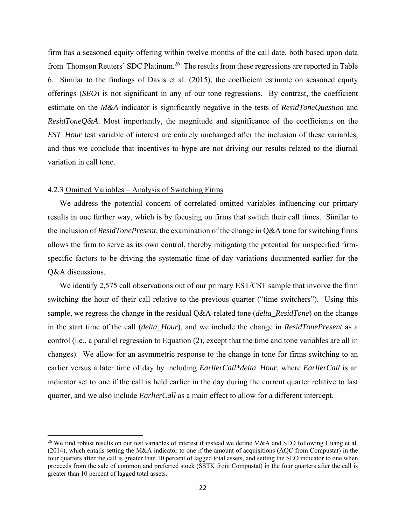firm has a seasoned equity offering within twelve months of the call date, both based upon data from Thomson Reuters' SDC Platinum.<sup>26</sup> The results from these regressions are reported in Table 6. Similar to the findings of Davis et al. (2015), the coefficient estimate on seasoned equity offerings (*SEO*) is not significant in any of our tone regressions. By contrast, the coefficient estimate on the *M&A* indicator is significantly negative in the tests of *ResidToneQuestion* and *ResidToneQ&A*. Most importantly, the magnitude and significance of the coefficients on the *EST\_Hour* test variable of interest are entirely unchanged after the inclusion of these variables, and thus we conclude that incentives to hype are not driving our results related to the diurnal variation in call tone.

### 4.2.3 Omitted Variables – Analysis of Switching Firms

We address the potential concern of correlated omitted variables influencing our primary results in one further way, which is by focusing on firms that switch their call times. Similar to the inclusion of *ResidTonePresent,* the examination of the change in Q&A tone for switching firms allows the firm to serve as its own control, thereby mitigating the potential for unspecified firmspecific factors to be driving the systematic time-of-day variations documented earlier for the Q&A discussions.

We identify 2,575 call observations out of our primary EST/CST sample that involve the firm switching the hour of their call relative to the previous quarter ("time switchers"). Using this sample, we regress the change in the residual Q&A-related tone (*delta\_ResidTone*) on the change in the start time of the call (*delta\_Hour*), and we include the change in *ResidTonePresent* as a control (i.e., a parallel regression to Equation (2), except that the time and tone variables are all in changes). We allow for an asymmetric response to the change in tone for firms switching to an earlier versus a later time of day by including *EarlierCall\*delta\_Hour,* where *EarlierCall* is an indicator set to one if the call is held earlier in the day during the current quarter relative to last quarter, and we also include *EarlierCall* as a main effect to allow for a different intercept.

<sup>&</sup>lt;sup>26</sup> We find robust results on our test variables of interest if instead we define M&A and SEO following Huang et al. (2014), which entails setting the M&A indicator to one if the amount of acquisitions (AQC from Compustat) in the four quarters after the call is greater than 10 percent of lagged total assets, and setting the SEO indicator to one when proceeds from the sale of common and preferred stock (SSTK from Compustat) in the four quarters after the call is greater than 10 percent of lagged total assets.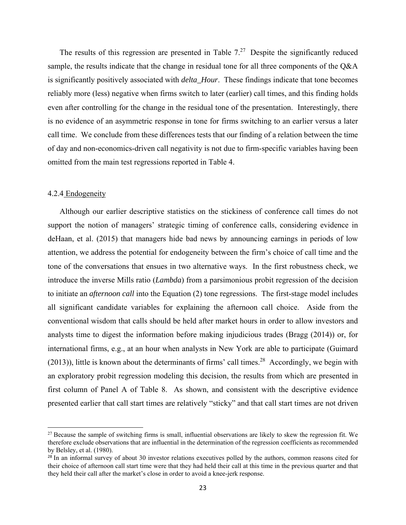The results of this regression are presented in Table  $7<sup>27</sup>$  Despite the significantly reduced sample, the results indicate that the change in residual tone for all three components of the Q&A is significantly positively associated with *delta\_Hour*. These findings indicate that tone becomes reliably more (less) negative when firms switch to later (earlier) call times, and this finding holds even after controlling for the change in the residual tone of the presentation. Interestingly, there is no evidence of an asymmetric response in tone for firms switching to an earlier versus a later call time.We conclude from these differences tests that our finding of a relation between the time of day and non-economics-driven call negativity is not due to firm-specific variables having been omitted from the main test regressions reported in Table 4.

### 4.2.4 Endogeneity

Although our earlier descriptive statistics on the stickiness of conference call times do not support the notion of managers' strategic timing of conference calls, considering evidence in deHaan, et al. (2015) that managers hide bad news by announcing earnings in periods of low attention, we address the potential for endogeneity between the firm's choice of call time and the tone of the conversations that ensues in two alternative ways. In the first robustness check, we introduce the inverse Mills ratio (*Lambda*) from a parsimonious probit regression of the decision to initiate an *afternoon call* into the Equation (2) tone regressions. The first-stage model includes all significant candidate variables for explaining the afternoon call choice. Aside from the conventional wisdom that calls should be held after market hours in order to allow investors and analysts time to digest the information before making injudicious trades (Bragg (2014)) or, for international firms, e.g., at an hour when analysts in New York are able to participate (Guimard  $(2013)$ ), little is known about the determinants of firms' call times.<sup>28</sup> Accordingly, we begin with an exploratory probit regression modeling this decision, the results from which are presented in first column of Panel A of Table 8. As shown, and consistent with the descriptive evidence presented earlier that call start times are relatively "sticky" and that call start times are not driven

 $27$  Because the sample of switching firms is small, influential observations are likely to skew the regression fit. We therefore exclude observations that are influential in the determination of the regression coefficients as recommended by Belsley, et al. (1980).

<sup>&</sup>lt;sup>28</sup> In an informal survey of about 30 investor relations executives polled by the authors, common reasons cited for their choice of afternoon call start time were that they had held their call at this time in the previous quarter and that they held their call after the market's close in order to avoid a knee-jerk response.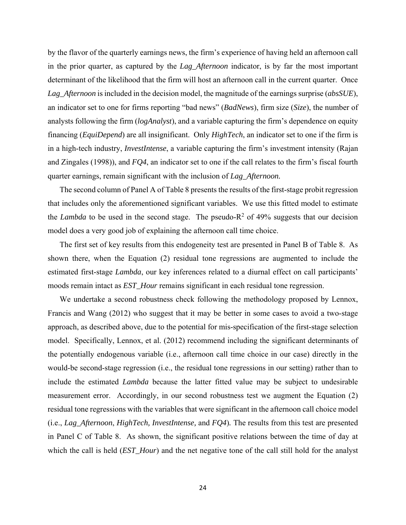by the flavor of the quarterly earnings news, the firm's experience of having held an afternoon call in the prior quarter, as captured by the *Lag\_Afternoon* indicator, is by far the most important determinant of the likelihood that the firm will host an afternoon call in the current quarter. Once *Lag\_Afternoon* is included in the decision model, the magnitude of the earnings surprise (*absSUE*), an indicator set to one for firms reporting "bad news" (*BadNews*), firm size (*Size*), the number of analysts following the firm (*logAnalyst*), and a variable capturing the firm's dependence on equity financing (*EquiDepend*) are all insignificant. Only *HighTech*, an indicator set to one if the firm is in a high-tech industry, *InvestIntense*, a variable capturing the firm's investment intensity (Rajan and Zingales (1998)), and *FQ4*, an indicator set to one if the call relates to the firm's fiscal fourth quarter earnings, remain significant with the inclusion of *Lag\_Afternoon.*

The second column of Panel A of Table 8 presents the results of the first-stage probit regression that includes only the aforementioned significant variables. We use this fitted model to estimate the *Lambda* to be used in the second stage. The pseudo- $R^2$  of 49% suggests that our decision model does a very good job of explaining the afternoon call time choice.

The first set of key results from this endogeneity test are presented in Panel B of Table 8. As shown there, when the Equation (2) residual tone regressions are augmented to include the estimated first-stage *Lambda*, our key inferences related to a diurnal effect on call participants' moods remain intact as *EST\_Hour* remains significant in each residual tone regression.

We undertake a second robustness check following the methodology proposed by Lennox, Francis and Wang (2012) who suggest that it may be better in some cases to avoid a two-stage approach, as described above, due to the potential for mis-specification of the first-stage selection model. Specifically, Lennox, et al. (2012) recommend including the significant determinants of the potentially endogenous variable (i.e., afternoon call time choice in our case) directly in the would-be second-stage regression (i.e., the residual tone regressions in our setting) rather than to include the estimated *Lambda* because the latter fitted value may be subject to undesirable measurement error. Accordingly, in our second robustness test we augment the Equation (2) residual tone regressions with the variables that were significant in the afternoon call choice model (i.e., *Lag\_Afternoon*, *HighTech, InvestIntense,* and *FQ4*)*.* The results from this test are presented in Panel C of Table 8. As shown, the significant positive relations between the time of day at which the call is held (*EST\_Hour*) and the net negative tone of the call still hold for the analyst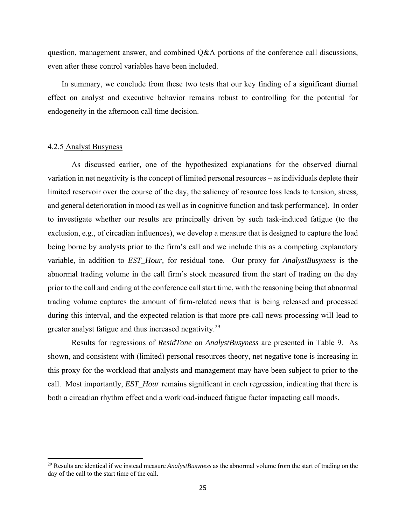question, management answer, and combined Q&A portions of the conference call discussions, even after these control variables have been included.

 In summary, we conclude from these two tests that our key finding of a significant diurnal effect on analyst and executive behavior remains robust to controlling for the potential for endogeneity in the afternoon call time decision.

### 4.2.5 Analyst Busyness

 As discussed earlier, one of the hypothesized explanations for the observed diurnal variation in net negativity is the concept of limited personal resources – as individuals deplete their limited reservoir over the course of the day, the saliency of resource loss leads to tension, stress, and general deterioration in mood (as well as in cognitive function and task performance). In order to investigate whether our results are principally driven by such task-induced fatigue (to the exclusion, e.g., of circadian influences), we develop a measure that is designed to capture the load being borne by analysts prior to the firm's call and we include this as a competing explanatory variable, in addition to *EST\_Hour,* for residual tone. Our proxy for *AnalystBusyness* is the abnormal trading volume in the call firm's stock measured from the start of trading on the day prior to the call and ending at the conference call start time, with the reasoning being that abnormal trading volume captures the amount of firm-related news that is being released and processed during this interval, and the expected relation is that more pre-call news processing will lead to greater analyst fatigue and thus increased negativity.29

 Results for regressions of *ResidTone* on *AnalystBusyness* are presented in Table 9. As shown, and consistent with (limited) personal resources theory, net negative tone is increasing in this proxy for the workload that analysts and management may have been subject to prior to the call. Most importantly, *EST\_Hour* remains significant in each regression, indicating that there is both a circadian rhythm effect and a workload-induced fatigue factor impacting call moods.

<sup>29</sup> Results are identical if we instead measure *AnalystBusyness* as the abnormal volume from the start of trading on the day of the call to the start time of the call.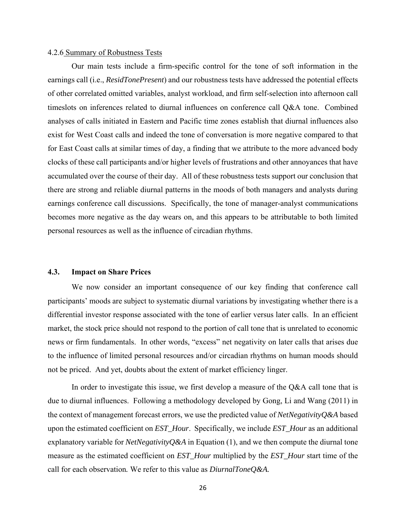### 4.2.6 Summary of Robustness Tests

Our main tests include a firm-specific control for the tone of soft information in the earnings call (i.e., *ResidTonePresent*) and our robustness tests have addressed the potential effects of other correlated omitted variables, analyst workload, and firm self-selection into afternoon call timeslots on inferences related to diurnal influences on conference call Q&A tone. Combined analyses of calls initiated in Eastern and Pacific time zones establish that diurnal influences also exist for West Coast calls and indeed the tone of conversation is more negative compared to that for East Coast calls at similar times of day, a finding that we attribute to the more advanced body clocks of these call participants and/or higher levels of frustrations and other annoyances that have accumulated over the course of their day. All of these robustness tests support our conclusion that there are strong and reliable diurnal patterns in the moods of both managers and analysts during earnings conference call discussions. Specifically, the tone of manager-analyst communications becomes more negative as the day wears on, and this appears to be attributable to both limited personal resources as well as the influence of circadian rhythms.

### **4.3. Impact on Share Prices**

We now consider an important consequence of our key finding that conference call participants' moods are subject to systematic diurnal variations by investigating whether there is a differential investor response associated with the tone of earlier versus later calls. In an efficient market, the stock price should not respond to the portion of call tone that is unrelated to economic news or firm fundamentals. In other words, "excess" net negativity on later calls that arises due to the influence of limited personal resources and/or circadian rhythms on human moods should not be priced. And yet, doubts about the extent of market efficiency linger.

In order to investigate this issue, we first develop a measure of the Q&A call tone that is due to diurnal influences. Following a methodology developed by Gong, Li and Wang (2011) in the context of management forecast errors, we use the predicted value of *NetNegativityQ&A* based upon the estimated coefficient on *EST\_Hour*. Specifically, we include *EST\_Hour* as an additional explanatory variable for *NetNegativityQ&A* in Equation (1), and we then compute the diurnal tone measure as the estimated coefficient on *EST\_Hour* multiplied by the *EST\_Hour* start time of the call for each observation*.* We refer to this value as *DiurnalToneQ&A.*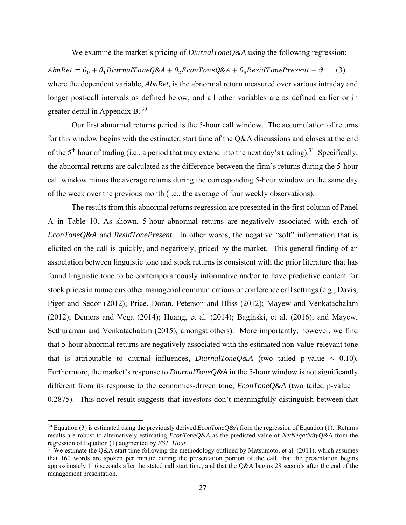We examine the market's pricing of *DiurnalToneQ&A* using the following regression:

AbnRet =  $\theta_0 + \theta_1$ DiurnalToneQ&A +  $\theta_2$ EconToneQ&A +  $\theta_3$ ResidTonePresent +  $\vartheta$  (3) where the dependent variable, *AbnRet,* is the abnormal return measured over various intraday and longer post-call intervals as defined below, and all other variables are as defined earlier or in greater detail in Appendix B. 30

Our first abnormal returns period is the 5-hour call window. The accumulation of returns for this window begins with the estimated start time of the Q&A discussions and closes at the end of the 5<sup>th</sup> hour of trading (i.e., a period that may extend into the next day's trading).<sup>31</sup> Specifically, the abnormal returns are calculated as the difference between the firm's returns during the 5-hour call window minus the average returns during the corresponding 5-hour window on the same day of the week over the previous month (i.e., the average of four weekly observations).

The results from this abnormal returns regression are presented in the first column of Panel A in Table 10. As shown, 5-hour abnormal returns are negatively associated with each of *EconToneQ&A* and *ResidTonePresent*. In other words, the negative "soft" information that is elicited on the call is quickly, and negatively, priced by the market. This general finding of an association between linguistic tone and stock returns is consistent with the prior literature that has found linguistic tone to be contemporaneously informative and/or to have predictive content for stock prices in numerous other managerial communications or conference call settings (e.g., Davis, Piger and Sedor (2012); Price, Doran, Peterson and Bliss (2012); Mayew and Venkatachalam (2012); Demers and Vega (2014); Huang, et al. (2014); Baginski, et al. (2016); and Mayew, Sethuraman and Venkatachalam (2015), amongst others). More importantly, however, we find that 5-hour abnormal returns are negatively associated with the estimated non-value-relevant tone that is attributable to diurnal influences, *DiurnalToneO&A* (two tailed p-value  $\leq$  0.10). Furthermore, the market's response to *DiurnalToneQ&A* in the 5-hour window is not significantly different from its response to the economics-driven tone,  $EconToneQ&A$  (two tailed p-value = 0.2875). This novel result suggests that investors don't meaningfully distinguish between that

<sup>30</sup> Equation (3) is estimated using the previously derived *EconToneQ&A* from the regression of Equation (1). Returns results are robust to alternatively estimating *EconToneQ&A* as the predicted value of *NetNegativityQ&A* from the regression of Equation (1) augmented by *EST\_Hour*. 31 We estimate the Q&A start time following the methodology outlined by Matsumoto, et al. (2011), which assumes

that 160 words are spoken per minute during the presentation portion of the call, that the presentation begins approximately 116 seconds after the stated call start time, and that the Q&A begins 28 seconds after the end of the management presentation.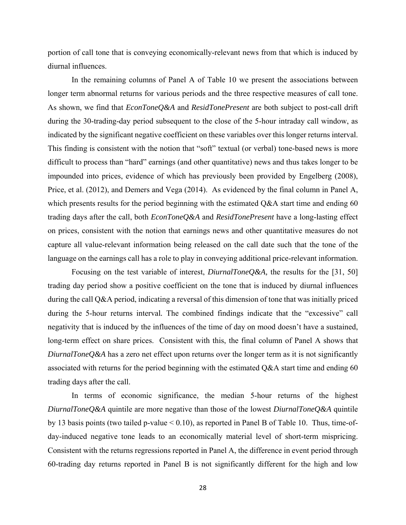portion of call tone that is conveying economically-relevant news from that which is induced by diurnal influences.

In the remaining columns of Panel A of Table 10 we present the associations between longer term abnormal returns for various periods and the three respective measures of call tone. As shown, we find that *EconToneQ&A* and *ResidTonePresent* are both subject to post-call drift during the 30-trading-day period subsequent to the close of the 5-hour intraday call window, as indicated by the significant negative coefficient on these variables over this longer returns interval. This finding is consistent with the notion that "soft" textual (or verbal) tone-based news is more difficult to process than "hard" earnings (and other quantitative) news and thus takes longer to be impounded into prices, evidence of which has previously been provided by Engelberg (2008), Price, et al. (2012), and Demers and Vega (2014). As evidenced by the final column in Panel A, which presents results for the period beginning with the estimated  $Q&A$  start time and ending 60 trading days after the call, both *EconToneQ&A* and *ResidTonePresent* have a long-lasting effect on prices, consistent with the notion that earnings news and other quantitative measures do not capture all value-relevant information being released on the call date such that the tone of the language on the earnings call has a role to play in conveying additional price-relevant information.

Focusing on the test variable of interest, *DiurnalToneQ&A,* the results for the [31, 50] trading day period show a positive coefficient on the tone that is induced by diurnal influences during the call Q&A period, indicating a reversal of this dimension of tone that was initially priced during the 5-hour returns interval*.* The combined findings indicate that the "excessive" call negativity that is induced by the influences of the time of day on mood doesn't have a sustained, long-term effect on share prices.Consistent with this, the final column of Panel A shows that *DiurnalToneQ&A* has a zero net effect upon returns over the longer term as it is not significantly associated with returns for the period beginning with the estimated Q&A start time and ending 60 trading days after the call.

In terms of economic significance, the median 5-hour returns of the highest *DiurnalToneQ&A* quintile are more negative than those of the lowest *DiurnalToneQ&A* quintile by 13 basis points (two tailed p-value < 0.10), as reported in Panel B of Table 10. Thus, time-ofday-induced negative tone leads to an economically material level of short-term mispricing. Consistent with the returns regressions reported in Panel A, the difference in event period through 60-trading day returns reported in Panel B is not significantly different for the high and low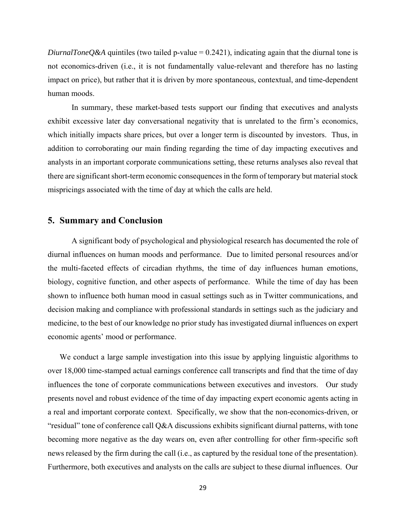*DiurnalToneQ&A* quintiles (two tailed p-value  $= 0.2421$ ), indicating again that the diurnal tone is not economics-driven (i.e., it is not fundamentally value-relevant and therefore has no lasting impact on price), but rather that it is driven by more spontaneous, contextual, and time-dependent human moods.

In summary, these market-based tests support our finding that executives and analysts exhibit excessive later day conversational negativity that is unrelated to the firm's economics, which initially impacts share prices, but over a longer term is discounted by investors. Thus, in addition to corroborating our main finding regarding the time of day impacting executives and analysts in an important corporate communications setting, these returns analyses also reveal that there are significant short-term economic consequences in the form of temporary but material stock mispricings associated with the time of day at which the calls are held.

### **5. Summary and Conclusion**

A significant body of psychological and physiological research has documented the role of diurnal influences on human moods and performance. Due to limited personal resources and/or the multi-faceted effects of circadian rhythms, the time of day influences human emotions, biology, cognitive function, and other aspects of performance. While the time of day has been shown to influence both human mood in casual settings such as in Twitter communications, and decision making and compliance with professional standards in settings such as the judiciary and medicine, to the best of our knowledge no prior study has investigated diurnal influences on expert economic agents' mood or performance.

We conduct a large sample investigation into this issue by applying linguistic algorithms to over 18,000 time-stamped actual earnings conference call transcripts and find that the time of day influences the tone of corporate communications between executives and investors. Our study presents novel and robust evidence of the time of day impacting expert economic agents acting in a real and important corporate context. Specifically, we show that the non-economics-driven, or "residual" tone of conference call Q&A discussions exhibits significant diurnal patterns, with tone becoming more negative as the day wears on, even after controlling for other firm-specific soft news released by the firm during the call (i.e., as captured by the residual tone of the presentation). Furthermore, both executives and analysts on the calls are subject to these diurnal influences. Our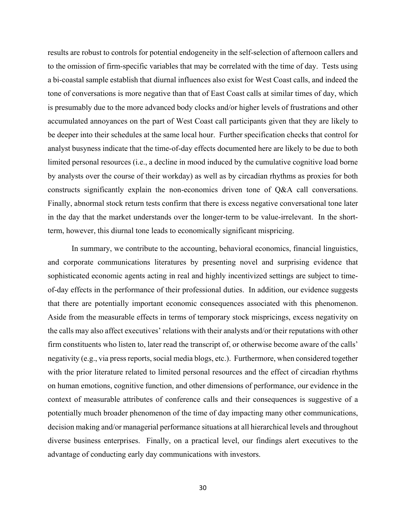results are robust to controls for potential endogeneity in the self-selection of afternoon callers and to the omission of firm-specific variables that may be correlated with the time of day. Tests using a bi-coastal sample establish that diurnal influences also exist for West Coast calls, and indeed the tone of conversations is more negative than that of East Coast calls at similar times of day, which is presumably due to the more advanced body clocks and/or higher levels of frustrations and other accumulated annoyances on the part of West Coast call participants given that they are likely to be deeper into their schedules at the same local hour. Further specification checks that control for analyst busyness indicate that the time-of-day effects documented here are likely to be due to both limited personal resources (i.e., a decline in mood induced by the cumulative cognitive load borne by analysts over the course of their workday) as well as by circadian rhythms as proxies for both constructs significantly explain the non-economics driven tone of Q&A call conversations. Finally, abnormal stock return tests confirm that there is excess negative conversational tone later in the day that the market understands over the longer-term to be value-irrelevant. In the shortterm, however, this diurnal tone leads to economically significant mispricing.

In summary, we contribute to the accounting, behavioral economics, financial linguistics, and corporate communications literatures by presenting novel and surprising evidence that sophisticated economic agents acting in real and highly incentivized settings are subject to timeof-day effects in the performance of their professional duties. In addition, our evidence suggests that there are potentially important economic consequences associated with this phenomenon. Aside from the measurable effects in terms of temporary stock mispricings, excess negativity on the calls may also affect executives' relations with their analysts and/or their reputations with other firm constituents who listen to, later read the transcript of, or otherwise become aware of the calls' negativity (e.g., via press reports, social media blogs, etc.). Furthermore, when considered together with the prior literature related to limited personal resources and the effect of circadian rhythms on human emotions, cognitive function, and other dimensions of performance, our evidence in the context of measurable attributes of conference calls and their consequences is suggestive of a potentially much broader phenomenon of the time of day impacting many other communications, decision making and/or managerial performance situations at all hierarchical levels and throughout diverse business enterprises. Finally, on a practical level, our findings alert executives to the advantage of conducting early day communications with investors.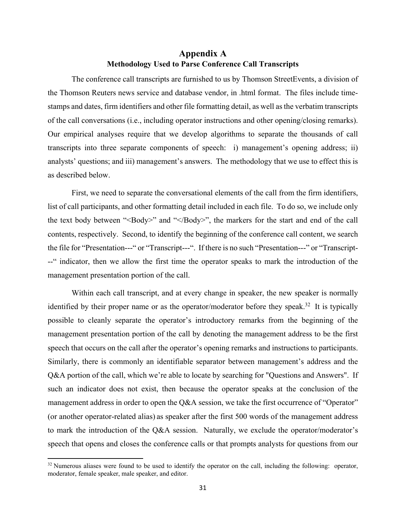# **Appendix A Methodology Used to Parse Conference Call Transcripts**

The conference call transcripts are furnished to us by Thomson StreetEvents, a division of the Thomson Reuters news service and database vendor, in .html format. The files include timestamps and dates, firm identifiers and other file formatting detail, as well as the verbatim transcripts of the call conversations (i.e., including operator instructions and other opening/closing remarks). Our empirical analyses require that we develop algorithms to separate the thousands of call transcripts into three separate components of speech: i) management's opening address; ii) analysts' questions; and iii) management's answers. The methodology that we use to effect this is as described below.

First, we need to separate the conversational elements of the call from the firm identifiers, list of call participants, and other formatting detail included in each file. To do so, we include only the text body between "<Body>" and "</Body>", the markers for the start and end of the call contents, respectively. Second, to identify the beginning of the conference call content, we search the file for "Presentation---" or "Transcript---". If there is no such "Presentation---" or "Transcript- --" indicator, then we allow the first time the operator speaks to mark the introduction of the management presentation portion of the call.

Within each call transcript, and at every change in speaker, the new speaker is normally identified by their proper name or as the operator/moderator before they speak.<sup>32</sup> It is typically possible to cleanly separate the operator's introductory remarks from the beginning of the management presentation portion of the call by denoting the management address to be the first speech that occurs on the call after the operator's opening remarks and instructions to participants. Similarly, there is commonly an identifiable separator between management's address and the Q&A portion of the call, which we're able to locate by searching for "Questions and Answers". If such an indicator does not exist, then because the operator speaks at the conclusion of the management address in order to open the Q&A session, we take the first occurrence of "Operator" (or another operator-related alias) as speaker after the first 500 words of the management address to mark the introduction of the Q&A session. Naturally, we exclude the operator/moderator's speech that opens and closes the conference calls or that prompts analysts for questions from our

<sup>&</sup>lt;sup>32</sup> Numerous aliases were found to be used to identify the operator on the call, including the following: operator, moderator, female speaker, male speaker, and editor.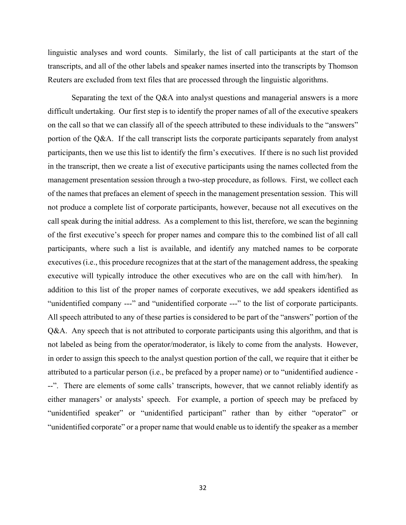linguistic analyses and word counts. Similarly, the list of call participants at the start of the transcripts, and all of the other labels and speaker names inserted into the transcripts by Thomson Reuters are excluded from text files that are processed through the linguistic algorithms.

Separating the text of the Q&A into analyst questions and managerial answers is a more difficult undertaking. Our first step is to identify the proper names of all of the executive speakers on the call so that we can classify all of the speech attributed to these individuals to the "answers" portion of the Q&A. If the call transcript lists the corporate participants separately from analyst participants, then we use this list to identify the firm's executives. If there is no such list provided in the transcript, then we create a list of executive participants using the names collected from the management presentation session through a two-step procedure, as follows. First, we collect each of the names that prefaces an element of speech in the management presentation session. This will not produce a complete list of corporate participants, however, because not all executives on the call speak during the initial address. As a complement to this list, therefore, we scan the beginning of the first executive's speech for proper names and compare this to the combined list of all call participants, where such a list is available, and identify any matched names to be corporate executives (i.e., this procedure recognizes that at the start of the management address, the speaking executive will typically introduce the other executives who are on the call with him/her). In addition to this list of the proper names of corporate executives, we add speakers identified as "unidentified company ---" and "unidentified corporate ---" to the list of corporate participants. All speech attributed to any of these parties is considered to be part of the "answers" portion of the Q&A. Any speech that is not attributed to corporate participants using this algorithm, and that is not labeled as being from the operator/moderator, is likely to come from the analysts. However, in order to assign this speech to the analyst question portion of the call, we require that it either be attributed to a particular person (i.e., be prefaced by a proper name) or to "unidentified audience - --". There are elements of some calls' transcripts, however, that we cannot reliably identify as either managers' or analysts' speech. For example, a portion of speech may be prefaced by "unidentified speaker" or "unidentified participant" rather than by either "operator" or "unidentified corporate" or a proper name that would enable us to identify the speaker as a member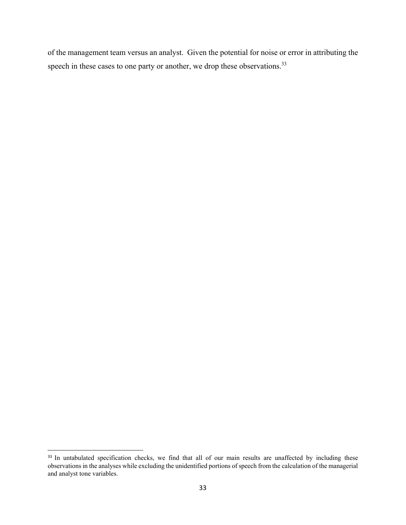of the management team versus an analyst. Given the potential for noise or error in attributing the speech in these cases to one party or another, we drop these observations.<sup>33</sup>

<sup>&</sup>lt;sup>33</sup> In untabulated specification checks, we find that all of our main results are unaffected by including these observations in the analyses while excluding the unidentified portions of speech from the calculation of the managerial and analyst tone variables.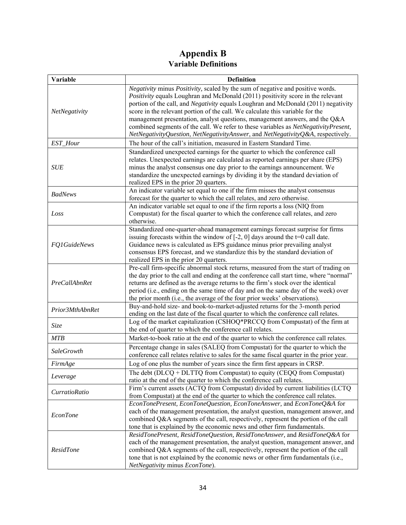# **Appendix B Variable Definitions**

| Variable            | <b>Definition</b>                                                                                                                                                                                                                                                                                                                                                                                                                       |
|---------------------|-----------------------------------------------------------------------------------------------------------------------------------------------------------------------------------------------------------------------------------------------------------------------------------------------------------------------------------------------------------------------------------------------------------------------------------------|
| NetNegativity       | Negativity minus Positivity, scaled by the sum of negative and positive words.<br>Positivity equals Loughran and McDonald (2011) positivity score in the relevant<br>portion of the call, and Negativity equals Loughran and McDonald (2011) negativity<br>score in the relevant portion of the call. We calculate this variable for the<br>management presentation, analyst questions, management answers, and the Q&A                 |
|                     | combined segments of the call. We refer to these variables as NetNegativityPresent,<br>NetNegativityQuestion, NetNegativityAnswer, and NetNegativityQ&A, respectively.                                                                                                                                                                                                                                                                  |
| EST_Hour            | The hour of the call's initiation, measured in Eastern Standard Time.                                                                                                                                                                                                                                                                                                                                                                   |
| <b>SUE</b>          | Standardized unexpected earnings for the quarter to which the conference call<br>relates. Unexpected earnings are calculated as reported earnings per share (EPS)<br>minus the analyst consensus one day prior to the earnings announcement. We<br>standardize the unexpected earnings by dividing it by the standard deviation of<br>realized EPS in the prior 20 quarters.                                                            |
| <b>BadNews</b>      | An indicator variable set equal to one if the firm misses the analyst consensus<br>forecast for the quarter to which the call relates, and zero otherwise.                                                                                                                                                                                                                                                                              |
| Loss                | An indicator variable set equal to one if the firm reports a loss (NIQ from<br>Compustat) for the fiscal quarter to which the conference call relates, and zero<br>otherwise.                                                                                                                                                                                                                                                           |
| <b>FQ1GuideNews</b> | Standardized one-quarter-ahead management earnings forecast surprise for firms<br>issuing forecasts within the window of $[-2, 0]$ days around the t=0 call date.<br>Guidance news is calculated as EPS guidance minus prior prevailing analyst<br>consensus EPS forecast, and we standardize this by the standard deviation of<br>realized EPS in the prior 20 quarters.                                                               |
| PreCallAbnRet       | Pre-call firm-specific abnormal stock returns, measured from the start of trading on<br>the day prior to the call and ending at the conference call start time, where "normal"<br>returns are defined as the average returns to the firm's stock over the identical<br>period (i.e., ending on the same time of day and on the same day of the week) over<br>the prior month (i.e., the average of the four prior weeks' observations). |
| Prior3MthAbnRet     | Buy-and-hold size- and book-to-market-adjusted returns for the 3-month period<br>ending on the last date of the fiscal quarter to which the conference call relates.                                                                                                                                                                                                                                                                    |
| Size                | Log of the market capitalization (CSHOQ*PRCCQ from Compustat) of the firm at<br>the end of quarter to which the conference call relates.                                                                                                                                                                                                                                                                                                |
| MTB                 | Market-to-book ratio at the end of the quarter to which the conference call relates.                                                                                                                                                                                                                                                                                                                                                    |
| <b>SaleGrowth</b>   | Percentage change in sales (SALEQ from Compustat) for the quarter to which the<br>conference call relates relative to sales for the same fiscal quarter in the prior year.                                                                                                                                                                                                                                                              |
| FirmAge             | Log of one plus the number of years since the firm first appears in CRSP.                                                                                                                                                                                                                                                                                                                                                               |
| Leverage            | The debt (DLCQ + DLTTQ from Compustat) to equity (CEQQ from Compustat)<br>ratio at the end of the quarter to which the conference call relates.                                                                                                                                                                                                                                                                                         |
| CurratioRatio       | Firm's current assets (ACTQ from Compustat) divided by current liabilities (LCTQ<br>from Compustat) at the end of the quarter to which the conference call relates.                                                                                                                                                                                                                                                                     |
| EconTone            | EconTonePresent, EconToneQuestion, EconToneAnswer, and EconToneQ&A for<br>each of the management presentation, the analyst question, management answer, and<br>combined Q&A segments of the call, respectively, represent the portion of the call<br>tone that is explained by the economic news and other firm fundamentals.                                                                                                           |
| ResidTone           | ResidTonePresent, ResidToneQuestion, ResidToneAnswer, and ResidToneQ&A for<br>each of the management presentation, the analyst question, management answer, and<br>combined Q&A segments of the call, respectively, represent the portion of the call<br>tone that is not explained by the economic news or other firm fundamentals (i.e.,<br>NetNegativity minus EconTone).                                                            |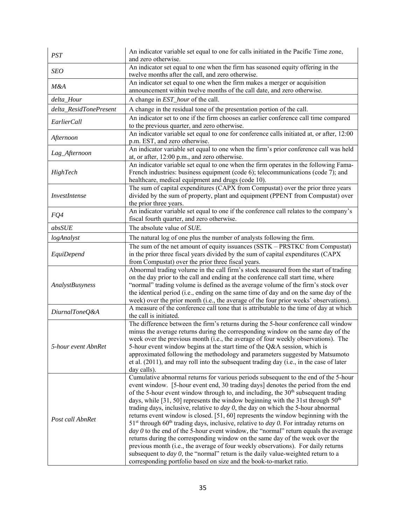| <b>PST</b>             | An indicator variable set equal to one for calls initiated in the Pacific Time zone,<br>and zero otherwise.                                                                                                                                                                                                                                                                                                                                                                                                                                                                                                                                                                                                                                                                                                                                                                                                                                                                                                                                                                              |
|------------------------|------------------------------------------------------------------------------------------------------------------------------------------------------------------------------------------------------------------------------------------------------------------------------------------------------------------------------------------------------------------------------------------------------------------------------------------------------------------------------------------------------------------------------------------------------------------------------------------------------------------------------------------------------------------------------------------------------------------------------------------------------------------------------------------------------------------------------------------------------------------------------------------------------------------------------------------------------------------------------------------------------------------------------------------------------------------------------------------|
| <b>SEO</b>             | An indicator set equal to one when the firm has seasoned equity offering in the<br>twelve months after the call, and zero otherwise.                                                                                                                                                                                                                                                                                                                                                                                                                                                                                                                                                                                                                                                                                                                                                                                                                                                                                                                                                     |
| M&A                    | An indicator set equal to one when the firm makes a merger or acquisition<br>announcement within twelve months of the call date, and zero otherwise.                                                                                                                                                                                                                                                                                                                                                                                                                                                                                                                                                                                                                                                                                                                                                                                                                                                                                                                                     |
| delta_Hour             | A change in EST_hour of the call.                                                                                                                                                                                                                                                                                                                                                                                                                                                                                                                                                                                                                                                                                                                                                                                                                                                                                                                                                                                                                                                        |
| delta_ResidTonePresent | A change in the residual tone of the presentation portion of the call.                                                                                                                                                                                                                                                                                                                                                                                                                                                                                                                                                                                                                                                                                                                                                                                                                                                                                                                                                                                                                   |
| EarlierCall            | An indicator set to one if the firm chooses an earlier conference call time compared<br>to the previous quarter, and zero otherwise.                                                                                                                                                                                                                                                                                                                                                                                                                                                                                                                                                                                                                                                                                                                                                                                                                                                                                                                                                     |
| Afternoon              | An indicator variable set equal to one for conference calls initiated at, or after, 12:00<br>p.m. EST, and zero otherwise.                                                                                                                                                                                                                                                                                                                                                                                                                                                                                                                                                                                                                                                                                                                                                                                                                                                                                                                                                               |
| Lag_Afternoon          | An indicator variable set equal to one when the firm's prior conference call was held<br>at, or after, 12:00 p.m., and zero otherwise.                                                                                                                                                                                                                                                                                                                                                                                                                                                                                                                                                                                                                                                                                                                                                                                                                                                                                                                                                   |
| HighTech               | An indicator variable set equal to one when the firm operates in the following Fama-<br>French industries: business equipment (code 6); telecommunications (code 7); and<br>healthcare, medical equipment and drugs (code 10).                                                                                                                                                                                                                                                                                                                                                                                                                                                                                                                                                                                                                                                                                                                                                                                                                                                           |
| <b>InvestIntense</b>   | The sum of capital expenditures (CAPX from Compustat) over the prior three years<br>divided by the sum of property, plant and equipment (PPENT from Compustat) over<br>the prior three years.                                                                                                                                                                                                                                                                                                                                                                                                                                                                                                                                                                                                                                                                                                                                                                                                                                                                                            |
| FQ4                    | An indicator variable set equal to one if the conference call relates to the company's<br>fiscal fourth quarter, and zero otherwise.                                                                                                                                                                                                                                                                                                                                                                                                                                                                                                                                                                                                                                                                                                                                                                                                                                                                                                                                                     |
| absSUE                 | The absolute value of SUE.                                                                                                                                                                                                                                                                                                                                                                                                                                                                                                                                                                                                                                                                                                                                                                                                                                                                                                                                                                                                                                                               |
| logAnalyst             | The natural log of one plus the number of analysts following the firm.                                                                                                                                                                                                                                                                                                                                                                                                                                                                                                                                                                                                                                                                                                                                                                                                                                                                                                                                                                                                                   |
| EquiDepend             | The sum of the net amount of equity issuances (SSTK - PRSTKC from Compustat)<br>in the prior three fiscal years divided by the sum of capital expenditures (CAPX<br>from Compustat) over the prior three fiscal years.                                                                                                                                                                                                                                                                                                                                                                                                                                                                                                                                                                                                                                                                                                                                                                                                                                                                   |
| <b>AnalystBusyness</b> | Abnormal trading volume in the call firm's stock measured from the start of trading<br>on the day prior to the call and ending at the conference call start time, where<br>"normal" trading volume is defined as the average volume of the firm's stock over<br>the identical period (i.e., ending on the same time of day and on the same day of the<br>week) over the prior month (i.e., the average of the four prior weeks' observations).                                                                                                                                                                                                                                                                                                                                                                                                                                                                                                                                                                                                                                           |
| DiurnalToneQ&A         | A measure of the conference call tone that is attributable to the time of day at which<br>the call is initiated.                                                                                                                                                                                                                                                                                                                                                                                                                                                                                                                                                                                                                                                                                                                                                                                                                                                                                                                                                                         |
| 5-hour event AbnRet    | The difference between the firm's returns during the 5-hour conference call window<br>minus the average returns during the corresponding window on the same day of the<br>week over the previous month (i.e., the average of four weekly observations). The<br>5-hour event window begins at the start time of the $Q\&A$ session, which is<br>approximated following the methodology and parameters suggested by Matsumoto<br>et al. $(2011)$ , and may roll into the subsequent trading day (i.e., in the case of later<br>day calls).                                                                                                                                                                                                                                                                                                                                                                                                                                                                                                                                                 |
| Post call AbnRet       | Cumulative abnormal returns for various periods subsequent to the end of the 5-hour<br>event window. [5-hour event end, 30 trading days] denotes the period from the end<br>of the 5-hour event window through to, and including, the $30th$ subsequent trading<br>days, while [31, 50] represents the window beginning with the 31st through $50th$<br>trading days, inclusive, relative to $day$ 0, the day on which the 5-hour abnormal<br>returns event window is closed. [51, 60] represents the window beginning with the<br>51 <sup>st</sup> through 60 <sup>th</sup> trading days, inclusive, relative to <i>day 0</i> . For intraday returns on<br>$day 0$ to the end of the 5-hour event window, the "normal" return equals the average<br>returns during the corresponding window on the same day of the week over the<br>previous month (i.e., the average of four weekly observations). For daily returns<br>subsequent to $day\theta$ , the "normal" return is the daily value-weighted return to a<br>corresponding portfolio based on size and the book-to-market ratio. |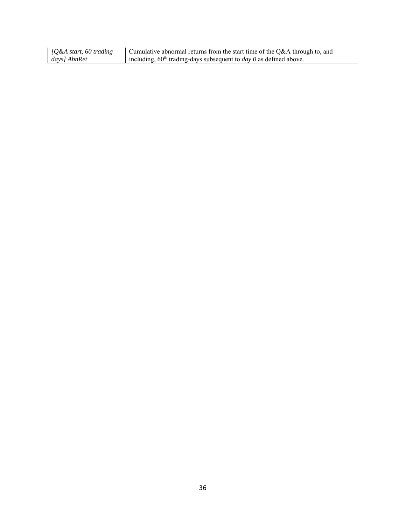| $[Q\&A \text{ start}, 60 \text{ trading}]$ | Cumulative abnormal returns from the start time of the $Q&A$ through to, and |
|--------------------------------------------|------------------------------------------------------------------------------|
| days] AbnRet                               | including, $60th$ trading-days subsequent to <i>day</i> 0 as defined above.  |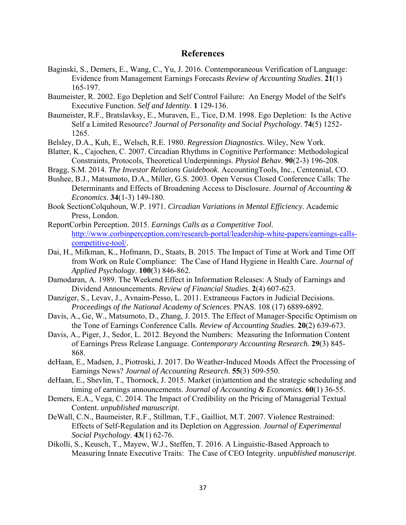### **References**

- Baginski, S., Demers, E., Wang, C., Yu, J. 2016. Contemporaneous Verification of Language: Evidence from Management Earnings Forecasts *Review of Accounting Studies*. **21**(1) 165-197.
- Baumeister, R. 2002. Ego Depletion and Self Control Failure: An Energy Model of the Self's Executive Function. *Self and Identity*. **1** 129-136.
- Baumeister, R.F., Bratslavksy, E., Muraven, E., Tice, D.M. 1998. Ego Depletion: Is the Active Self a Limited Resource? *Journal of Personality and Social Psychology*. **74**(5) 1252- 1265.

Belsley, D.A., Kuh, E., Welsch, R.E. 1980. *Regression Diagnostics*. Wiley, New York.

- Blatter, K., Cajochen, C. 2007. Circadian Rhythms in Cognitive Performance: Methodological Constraints, Protocols, Theoretical Underpinnings. *Physiol Behav*. **90**(2-3) 196-208.
- Bragg, S.M. 2014. *The Investor Relations Guidebook*. AccountingTools, Inc., Centennial, CO.
- Bushee, B.J., Matsumoto, D.A., Miller, G.S. 2003. Open Versus Closed Conference Calls: The Determinants and Effects of Broadening Access to Disclosure. *Journal of Accounting & Economics*. **34**(1-3) 149-180.
- Book SectionColquhoun, W.P. 1971. *Circadian Variations in Mental Efficiency*. Academic Press, London.
- ReportCorbin Perception. 2015. *Earnings Calls as a Competitive Tool*. http://www.corbinperception.com/research-portal/leadership-white-papers/earnings-callscompetitive-tool/.
- Dai, H., Milkman, K., Hofmann, D., Staats, B. 2015. The Impact of Time at Work and Time Off from Work on Rule Compliance: The Case of Hand Hygiene in Health Care. *Journal of Applied Psychology*. **100**(3) 846-862.
- Damodaran, A. 1989. The Weekend Effect in Information Releases: A Study of Earnings and Dividend Announcements. *Review of Financial Studies*. **2**(4) 607-623.
- Danziger, S., Levav, J., Avnaim-Pesso, L. 2011. Extraneous Factors in Judicial Decisions. *Proceedings of the National Academy of Sciences*. PNAS. 108 (17) 6889-6892.
- Davis, A., Ge, W., Matsumoto, D., Zhang, J. 2015. The Effect of Manager-Specific Optimism on the Tone of Earnings Conference Calls. *Review of Accounting Studies*. **20**(2) 639-673.
- Davis, A., Piger, J., Sedor, L. 2012. Beyond the Numbers: Measuring the Information Content of Earnings Press Release Language. *Contemporary Accounting Research*. **29**(3) 845- 868.
- deHaan, E., Madsen, J., Piotroski, J. 2017. Do Weather-Induced Moods Affect the Processing of Earnings News? *Journal of Accounting Research*. **55**(3) 509-550.
- deHaan, E., Shevlin, T., Thornock, J. 2015. Market (in)attention and the strategic scheduling and timing of earnings announcements. *Journal of Accounting & Economics*. **60**(1) 36-55.
- Demers, E.A., Vega, C. 2014. The Impact of Credibility on the Pricing of Managerial Textual Content. *unpublished manuscript*.
- DeWall, C.N., Baumeister, R.F., Stillman, T.F., Gailliot, M.T. 2007. Violence Restrained: Effects of Self-Regulation and its Depletion on Aggression. *Journal of Experimental Social Psychology*. **43**(1) 62-76.
- Dikolli, S., Keusch, T., Mayew, W.J., Steffen, T. 2016. A Linguistic-Based Approach to Measuring Innate Executive Traits: The Case of CEO Integrity. *unpublished manuscript*.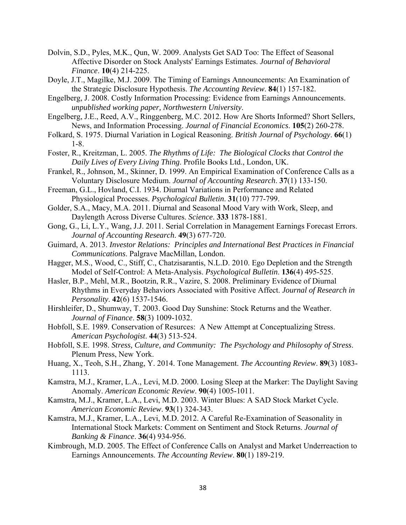- Dolvin, S.D., Pyles, M.K., Qun, W. 2009. Analysts Get SAD Too: The Effect of Seasonal Affective Disorder on Stock Analysts' Earnings Estimates. *Journal of Behavioral Finance*. **10**(4) 214-225.
- Doyle, J.T., Magilke, M.J. 2009. The Timing of Earnings Announcements: An Examination of the Strategic Disclosure Hypothesis. *The Accounting Review*. **84**(1) 157-182.
- Engelberg, J. 2008. Costly Information Processing: Evidence from Earnings Announcements. *unpublished working paper, Northwestern University*.
- Engelberg, J.E., Reed, A.V., Ringgenberg, M.C. 2012. How Are Shorts Informed? Short Sellers, News, and Information Processing. *Journal of Financial Economics*. **105**(2) 260-278.
- Folkard, S. 1975. Diurnal Variation in Logical Reasoning. *British Journal of Psychology*. **66**(1) 1-8.
- Foster, R., Kreitzman, L. 2005. *The Rhythms of Life: The Biological Clocks that Control the Daily Lives of Every Living Thing*. Profile Books Ltd., London, UK.
- Frankel, R., Johnson, M., Skinner, D. 1999. An Empirical Examination of Conference Calls as a Voluntary Disclosure Medium. *Journal of Accounting Research*. **37**(1) 133-150.
- Freeman, G.L., Hovland, C.I. 1934. Diurnal Variations in Performance and Related Physiological Processes. *Psychological Bulletin*. **31**(10) 777-799.
- Golder, S.A., Macy, M.A. 2011. Diurnal and Seasonal Mood Vary with Work, Sleep, and Daylength Across Diverse Cultures. *Science*. **333** 1878-1881.
- Gong, G., Li, L.Y., Wang, J.J. 2011. Serial Correlation in Management Earnings Forecast Errors. *Journal of Accounting Research*. **49**(3) 677-720.
- Guimard, A. 2013. *Investor Relations: Principles and International Best Practices in Financial Communications*. Palgrave MacMillan, London.
- Hagger, M.S., Wood, C., Stiff, C., Chatzisarantis, N.L.D. 2010. Ego Depletion and the Strength Model of Self-Control: A Meta-Analysis. *Psychological Bulletin*. **136**(4) 495-525.
- Hasler, B.P., Mehl, M.R., Bootzin, R.R., Vazire, S. 2008. Preliminary Evidence of Diurnal Rhythms in Everyday Behaviors Associated with Positive Affect. *Journal of Research in Personality*. **42**(6) 1537-1546.
- Hirshleifer, D., Shumway, T. 2003. Good Day Sunshine: Stock Returns and the Weather. *Journal of Finance*. **58**(3) 1009-1032.
- Hobfoll, S.E. 1989. Conservation of Resurces: A New Attempt at Conceptualizing Stress. *American Psychologist*. **44**(3) 513-524.
- Hobfoll, S.E. 1998. *Stress, Culture, and Community: The Psychology and Philosophy of Stress*. Plenum Press, New York.
- Huang, X., Teoh, S.H., Zhang, Y. 2014. Tone Management. *The Accounting Review*. **89**(3) 1083- 1113.
- Kamstra, M.J., Kramer, L.A., Levi, M.D. 2000. Losing Sleep at the Marker: The Daylight Saving Anomaly. *American Economic Review*. **90**(4) 1005-1011.
- Kamstra, M.J., Kramer, L.A., Levi, M.D. 2003. Winter Blues: A SAD Stock Market Cycle. *American Economic Review*. **93**(1) 324-343.
- Kamstra, M.J., Kramer, L.A., Levi, M.D. 2012. A Careful Re-Examination of Seasonality in International Stock Markets: Comment on Sentiment and Stock Returns. *Journal of Banking & Finance*. **36**(4) 934-956.
- Kimbrough, M.D. 2005. The Effect of Conference Calls on Analyst and Market Underreaction to Earnings Announcements. *The Accounting Review*. **80**(1) 189-219.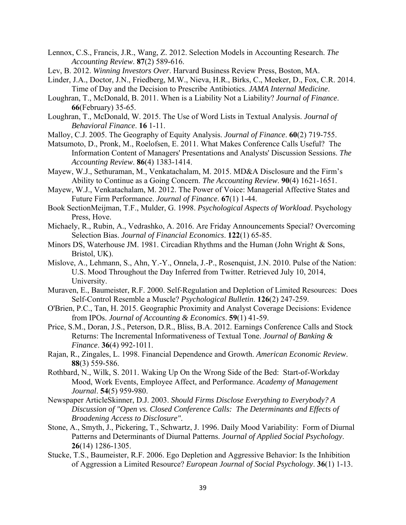- Lennox, C.S., Francis, J.R., Wang, Z. 2012. Selection Models in Accounting Research. *The Accounting Review*. **87**(2) 589-616.
- Lev, B. 2012. *Winning Investors Over*. Harvard Business Review Press, Boston, MA.
- Linder, J.A., Doctor, J.N., Friedberg, M.W., Nieva, H.R., Birks, C., Meeker, D., Fox, C.R. 2014. Time of Day and the Decision to Prescribe Antibiotics. *JAMA Internal Medicine*.
- Loughran, T., McDonald, B. 2011. When is a Liability Not a Liability? *Journal of Finance*. **66**(February) 35-65.
- Loughran, T., McDonald, W. 2015. The Use of Word Lists in Textual Analysis. *Journal of Behavioral Finance*. **16** 1-11.
- Malloy, C.J. 2005. The Geography of Equity Analysis. *Journal of Finance*. **60**(2) 719-755.
- Matsumoto, D., Pronk, M., Roelofsen, E. 2011. What Makes Conference Calls Useful? The Information Content of Managers' Presentations and Analysts' Discussion Sessions. *The Accounting Review*. **86**(4) 1383-1414.
- Mayew, W.J., Sethuraman, M., Venkatachalam, M. 2015. MD&A Disclosure and the Firm's Ability to Continue as a Going Concern. *The Accounting Review*. **90**(4) 1621-1651.
- Mayew, W.J., Venkatachalam, M. 2012. The Power of Voice: Managerial Affective States and Future Firm Performance. *Journal of Finance*. **67**(1) 1-44.
- Book SectionMeijman, T.F., Mulder, G. 1998. *Psychological Aspects of Workload*. Psychology Press, Hove.
- Michaely, R., Rubin, A., Vedrashko, A. 2016. Are Friday Announcements Special? Overcoming Selection Bias. *Journal of Financial Economics*. **122**(1) 65-85.
- Minors DS, Waterhouse JM. 1981. Circadian Rhythms and the Human (John Wright & Sons, Bristol, UK).
- Mislove, A., Lehmann, S., Ahn, Y.-Y., Onnela, J.-P., Rosenquist, J.N. 2010. Pulse of the Nation: U.S. Mood Throughout the Day Inferred from Twitter. Retrieved July 10, 2014, University.
- Muraven, E., Baumeister, R.F. 2000. Self-Regulation and Depletion of Limited Resources: Does Self-Control Resemble a Muscle? *Psychological Bulletin*. **126**(2) 247-259.
- O'Brien, P.C., Tan, H. 2015. Geographic Proximity and Analyst Coverage Decisions: Evidence from IPOs. *Journal of Accounting & Economics*. **59**(1) 41-59.
- Price, S.M., Doran, J.S., Peterson, D.R., Bliss, B.A. 2012. Earnings Conference Calls and Stock Returns: The Incremental Informativeness of Textual Tone. *Journal of Banking & Finance*. **36**(4) 992-1011.
- Rajan, R., Zingales, L. 1998. Financial Dependence and Growth. *American Economic Review*. **88**(3) 559-586.
- Rothbard, N., Wilk, S. 2011. Waking Up On the Wrong Side of the Bed: Start-of-Workday Mood, Work Events, Employee Affect, and Performance. *Academy of Management Journal*. **54**(5) 959-980.
- Newspaper ArticleSkinner, D.J. 2003. *Should Firms Disclose Everything to Everybody? A Discussion of "Open vs. Closed Conference Calls: The Determinants and Effects of Broadening Access to Disclosure"*.
- Stone, A., Smyth, J., Pickering, T., Schwartz, J. 1996. Daily Mood Variability: Form of Diurnal Patterns and Determinants of Diurnal Patterns. *Journal of Applied Social Psychology*. **26**(14) 1286-1305.
- Stucke, T.S., Baumeister, R.F. 2006. Ego Depletion and Aggressive Behavior: Is the Inhibition of Aggression a Limited Resource? *European Journal of Social Psychology*. **36**(1) 1-13.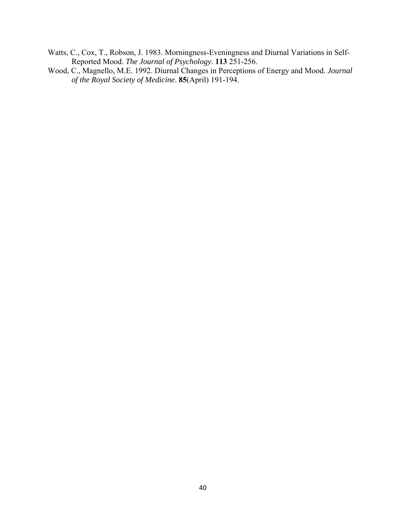- Watts, C., Cox, T., Robson, J. 1983. Morningness-Eveningness and Diurnal Variations in Self-Reported Mood. *The Journal of Psychology*. **113** 251-256.
- Wood, C., Magnello, M.E. 1992. Diurnal Changes in Perceptions of Energy and Mood. *Journal of the Royal Society of Medicine*. **85**(April) 191-194.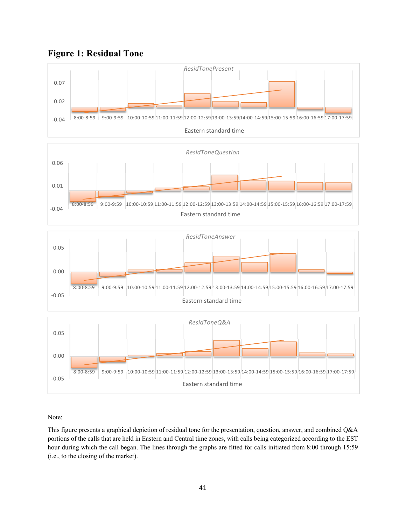







Note:

This figure presents a graphical depiction of residual tone for the presentation, question, answer, and combined Q&A portions of the calls that are held in Eastern and Central time zones, with calls being categorized according to the EST hour during which the call began. The lines through the graphs are fitted for calls initiated from 8:00 through 15:59 (i.e., to the closing of the market).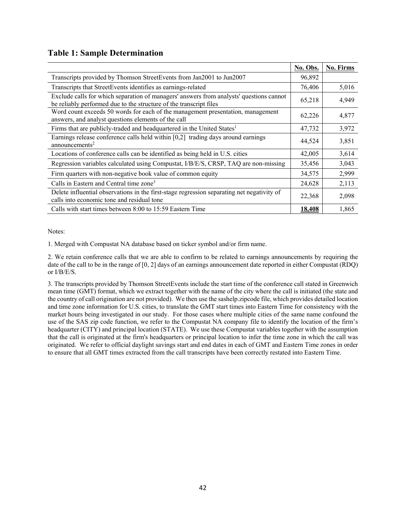## **Table 1: Sample Determination**

|                                                                                                                                                               | No. Obs. | <b>No. Firms</b> |
|---------------------------------------------------------------------------------------------------------------------------------------------------------------|----------|------------------|
| Transcripts provided by Thomson StreetEvents from Jan2001 to Jun2007                                                                                          | 96,892   |                  |
| Transcripts that StreetEvents identifies as earnings-related                                                                                                  | 76,406   | 5,016            |
| Exclude calls for which separation of managers' answers from analysts' questions cannot<br>be reliably performed due to the structure of the transcript files | 65,218   | 4,949            |
| Word count exceeds 50 words for each of the management presentation, management<br>answers, and analyst questions elements of the call                        | 62,226   | 4,877            |
| Firms that are publicly-traded and headquartered in the United States <sup>1</sup>                                                                            | 47,732   | 3,972            |
| Earnings release conference calls held within $[0,2]$ trading days around earnings<br>announcements <sup>2</sup>                                              | 44,524   | 3,851            |
| Locations of conference calls can be identified as being held in U.S. cities                                                                                  | 42,005   | 3,614            |
| Regression variables calculated using Compustat, I/B/E/S, CRSP, TAQ are non-missing                                                                           | 35,456   | 3,043            |
| Firm quarters with non-negative book value of common equity                                                                                                   | 34,575   | 2,999            |
| Calls in Eastern and Central time zone <sup>3</sup>                                                                                                           | 24,628   | 2,113            |
| Delete influential observations in the first-stage regression separating net negativity of<br>calls into economic tone and residual tone                      | 22,368   | 2,098            |
| Calls with start times between 8:00 to 15:59 Eastern Time                                                                                                     | 18,408   | 1,865            |

Notes:

1. Merged with Compustat NA database based on ticker symbol and/or firm name.

2. We retain conference calls that we are able to confirm to be related to earnings announcements by requiring the date of the call to be in the range of [0, 2] days of an earnings announcement date reported in either Compustat (RDQ) or I/B/E/S.

3. The transcripts provided by Thomson StreetEvents include the start time of the conference call stated in Greenwich mean time (GMT) format, which we extract together with the name of the city where the call is initiated (the state and the country of call origination are not provided). We then use the sashelp.zipcode file, which provides detailed location and time zone information for U.S. cities, to translate the GMT start times into Eastern Time for consistency with the market hours being investigated in our study. For those cases where multiple cities of the same name confound the use of the SAS zip code function, we refer to the Compustat NA company file to identify the location of the firm's headquarter (CITY) and principal location (STATE). We use these Compustat variables together with the assumption that the call is originated at the firm's headquarters or principal location to infer the time zone in which the call was originated. We refer to official daylight savings start and end dates in each of GMT and Eastern Time zones in order to ensure that all GMT times extracted from the call transcripts have been correctly restated into Eastern Time.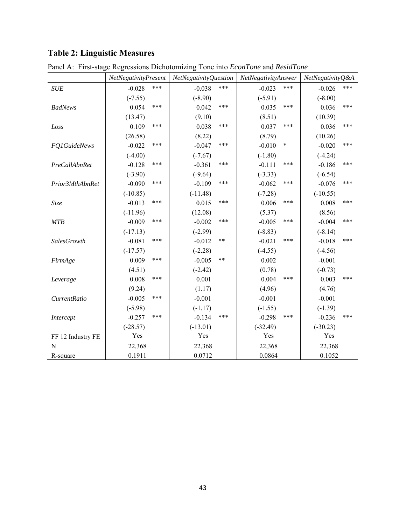# **Table 2: Linguistic Measures**

|                     | NetNegativityPresent |     | NetNegativityQuestion |       | NetNegativityAnswer |        | NetNegativityQ&A |     |
|---------------------|----------------------|-----|-----------------------|-------|---------------------|--------|------------------|-----|
| <b>SUE</b>          | $-0.028$             | *** | $-0.038$              | ***   | $-0.023$            | ***    | $-0.026$         | *** |
|                     | $(-7.55)$            |     | $(-8.90)$             |       | $(-5.91)$           |        | $(-8.00)$        |     |
| <b>BadNews</b>      | 0.054                | *** | 0.042                 | ***   | 0.035               | ***    | 0.036            | *** |
|                     | (13.47)              |     | (9.10)                |       | (8.51)              |        | (10.39)          |     |
| Loss                | 0.109                | *** | 0.038                 | ***   | 0.037               | ***    | 0.036            | *** |
|                     | (26.58)              |     | (8.22)                |       | (8.79)              |        | (10.26)          |     |
| FQ1GuideNews        | $-0.022$             | *** | $-0.047$              | ***   | $-0.010$            | $\ast$ | $-0.020$         | *** |
|                     | $(-4.00)$            |     | $(-7.67)$             |       | $(-1.80)$           |        | $(-4.24)$        |     |
| PreCallAbnRet       | $-0.128$             | *** | $-0.361$              | ***   | $-0.111$            | ***    | $-0.186$         | *** |
|                     | $(-3.90)$            |     | $(-9.64)$             |       | $(-3.33)$           |        | $(-6.54)$        |     |
| Prior3MthAbnRet     | $-0.090$             | *** | $-0.109$              | ***   | $-0.062$            | ***    | $-0.076$         | *** |
|                     | $(-10.85)$           |     | $(-11.48)$            |       | $(-7.28)$           |        | $(-10.55)$       |     |
| Size                | $-0.013$             | *** | 0.015                 | ***   | 0.006               | ***    | 0.008            | *** |
|                     | $(-11.96)$           |     | (12.08)               |       | (5.37)              |        | (8.56)           |     |
| <b>MTB</b>          | $-0.009$             | *** | $-0.002$              | ***   | $-0.005$            | ***    | $-0.004$         | *** |
|                     | $(-17.13)$           |     | $(-2.99)$             |       | $(-8.83)$           |        | $(-8.14)$        |     |
| SalesGrowth         | $-0.081$             | *** | $-0.012$              | $***$ | $-0.021$            | ***    | $-0.018$         | *** |
|                     | $(-17.57)$           |     | $(-2.28)$             |       | $(-4.55)$           |        | $(-4.56)$        |     |
| FirmAge             | 0.009                | *** | $-0.005$              | $***$ | 0.002               |        | $-0.001$         |     |
|                     | (4.51)               |     | $(-2.42)$             |       | (0.78)              |        | $(-0.73)$        |     |
| Leverage            | 0.008                | *** | 0.001                 |       | 0.004               | ***    | 0.003            | *** |
|                     | (9.24)               |     | (1.17)                |       | (4.96)              |        | (4.76)           |     |
| <b>CurrentRatio</b> | $-0.005$             | *** | $-0.001$              |       | $-0.001$            |        | $-0.001$         |     |
|                     | $(-5.98)$            |     | $(-1.17)$             |       | $(-1.55)$           |        | $(-1.39)$        |     |
| Intercept           | $-0.257$             | *** | $-0.134$              | ***   | $-0.298$            | ***    | $-0.236$         | *** |
|                     | $(-28.57)$           |     | $(-13.01)$            |       | $(-32.49)$          |        | $(-30.23)$       |     |
| FF 12 Industry FE   | Yes                  |     | Yes                   |       | Yes                 |        | Yes              |     |
| N                   | 22,368               |     | 22,368                |       | 22,368              |        | 22,368           |     |
| R-square            | 0.1911               |     | 0.0712                |       | 0.0864              |        | 0.1052           |     |

Panel A: First-stage Regressions Dichotomizing Tone into *EconTone* and *ResidTone*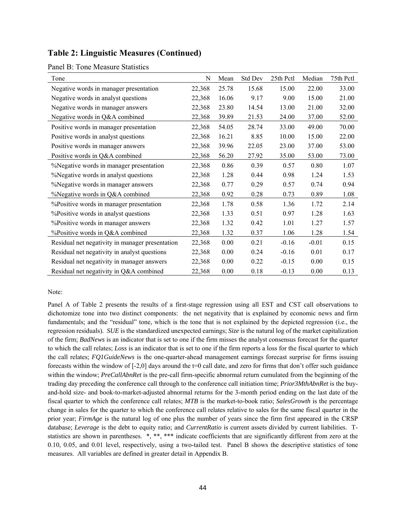### **Table 2: Linguistic Measures (Continued)**

| Tone                                            | N      | Mean  | Std Dev | 25th Pctl | Median  | 75th Pctl |
|-------------------------------------------------|--------|-------|---------|-----------|---------|-----------|
| Negative words in manager presentation          | 22,368 | 25.78 | 15.68   | 15.00     | 22.00   | 33.00     |
| Negative words in analyst questions             | 22,368 | 16.06 | 9.17    | 9.00      | 15.00   | 21.00     |
| Negative words in manager answers               | 22,368 | 23.80 | 14.54   | 13.00     | 21.00   | 32.00     |
| Negative words in Q&A combined                  | 22,368 | 39.89 | 21.53   | 24.00     | 37.00   | 52.00     |
| Positive words in manager presentation          | 22,368 | 54.05 | 28.74   | 33.00     | 49.00   | 70.00     |
| Positive words in analyst questions             | 22,368 | 16.21 | 8.85    | 10.00     | 15.00   | 22.00     |
| Positive words in manager answers               | 22,368 | 39.96 | 22.05   | 23.00     | 37.00   | 53.00     |
| Positive words in Q&A combined                  | 22,368 | 56.20 | 27.92   | 35.00     | 53.00   | 73.00     |
| %Negative words in manager presentation         | 22,368 | 0.86  | 0.39    | 0.57      | 0.80    | 1.07      |
| %Negative words in analyst questions            | 22,368 | 1.28  | 0.44    | 0.98      | 1.24    | 1.53      |
| %Negative words in manager answers              | 22,368 | 0.77  | 0.29    | 0.57      | 0.74    | 0.94      |
| %Negative words in Q&A combined                 | 22,368 | 0.92  | 0.28    | 0.73      | 0.89    | 1.08      |
| %Positive words in manager presentation         | 22,368 | 1.78  | 0.58    | 1.36      | 1.72    | 2.14      |
| %Positive words in analyst questions            | 22,368 | 1.33  | 0.51    | 0.97      | 1.28    | 1.63      |
| %Positive words in manager answers              | 22,368 | 1.32  | 0.42    | 1.01      | 1.27    | 1.57      |
| %Positive words in Q&A combined                 | 22,368 | 1.32  | 0.37    | 1.06      | 1.28    | 1.54      |
| Residual net negativity in manager presentation | 22,368 | 0.00  | 0.21    | $-0.16$   | $-0.01$ | 0.15      |
| Residual net negativity in analyst questions    | 22,368 | 0.00  | 0.24    | $-0.16$   | 0.01    | 0.17      |
| Residual net negativity in manager answers      | 22,368 | 0.00  | 0.22    | $-0.15$   | 0.00    | 0.15      |
| Residual net negativity in Q&A combined         | 22,368 | 0.00  | 0.18    | $-0.13$   | 0.00    | 0.13      |

#### Panel B: Tone Measure Statistics

#### Note:

Panel A of Table 2 presents the results of a first-stage regression using all EST and CST call observations to dichotomize tone into two distinct components: the net negativity that is explained by economic news and firm fundamentals; and the "residual" tone, which is the tone that is not explained by the depicted regression (i.e., the regression residuals). *SUE* is the standardized unexpected earnings; *Size* is the natural log of the market capitalization of the firm; *BadNews* is an indicator that is set to one if the firm misses the analyst consensus forecast for the quarter to which the call relates; *Loss* is an indicator that is set to one if the firm reports a loss for the fiscal quarter to which the call relates; *FQ1GuideNews* is the one-quarter-ahead management earnings forecast surprise for firms issuing forecasts within the window of  $[-2,0]$  days around the  $t=0$  call date, and zero for firms that don't offer such guidance within the window; *PreCallAbnRet* is the pre-call firm-specific abnormal return cumulated from the beginning of the trading day preceding the conference call through to the conference call initiation time; *Prior3MthAbnRet* is the buyand-hold size- and book-to-market-adjusted abnormal returns for the 3-month period ending on the last date of the fiscal quarter to which the conference call relates; *MTB* is the market-to-book ratio; *SalesGrowth* is the percentage change in sales for the quarter to which the conference call relates relative to sales for the same fiscal quarter in the prior year; *FirmAge* is the natural log of one plus the number of years since the firm first appeared in the CRSP database; *Leverage* is the debt to equity ratio; and *CurrentRatio* is current assets divided by current liabilities. Tstatistics are shown in parentheses. \*, \*\*, \*\*\* indicate coefficients that are significantly different from zero at the 0.10, 0.05, and 0.01 level, respectively, using a two-tailed test. Panel B shows the descriptive statistics of tone measures. All variables are defined in greater detail in Appendix B.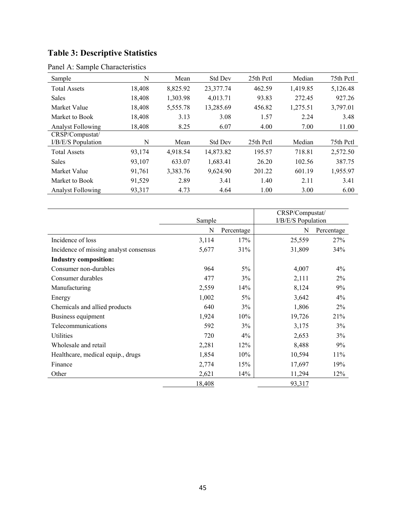# **Table 3: Descriptive Statistics**

| Sample                   | N      | Mean     | <b>Std Dev</b> | 25th Pctl | Median   | 75th Pctl |
|--------------------------|--------|----------|----------------|-----------|----------|-----------|
| <b>Total Assets</b>      | 18,408 | 8,825.92 | 23,377.74      | 462.59    | 1,419.85 | 5,126.48  |
| <b>Sales</b>             | 18,408 | 1,303.98 | 4,013.71       | 93.83     | 272.45   | 927.26    |
| Market Value             | 18,408 | 5,555.78 | 13,285.69      | 456.82    | 1,275.51 | 3,797.01  |
| Market to Book           | 18,408 | 3.13     | 3.08           | 1.57      | 2.24     | 3.48      |
| <b>Analyst Following</b> | 18,408 | 8.25     | 6.07           | 4.00      | 7.00     | 11.00     |
| CRSP/Compustat/          |        |          |                |           |          |           |
| I/B/E/S Population       | N      | Mean     | <b>Std Dev</b> | 25th Pctl | Median   | 75th Pctl |
| <b>Total Assets</b>      | 93,174 | 4,918.54 | 14,873.82      | 195.57    | 718.81   | 2,572.50  |
| <b>Sales</b>             | 93,107 | 633.07   | 1.683.41       | 26.20     | 102.56   | 387.75    |
| Market Value             | 91,761 | 3.383.76 | 9,624.90       | 201.22    | 601.19   | 1,955.97  |
| Market to Book           | 91,529 | 2.89     | 3.41           | 1.40      | 2.11     | 3.41      |
| <b>Analyst Following</b> | 93,317 | 4.73     | 4.64           | 1.00      | 3.00     | 6.00      |

Panel A: Sample Characteristics

|                                        |        |            | CRSP/Compustat/    |            |
|----------------------------------------|--------|------------|--------------------|------------|
|                                        | Sample |            | I/B/E/S Population |            |
|                                        | N      | Percentage | N                  | Percentage |
| Incidence of loss                      | 3,114  | 17%        | 25,559             | 27%        |
| Incidence of missing analyst consensus | 5,677  | 31%        | 31,809             | 34%        |
| <b>Industry composition:</b>           |        |            |                    |            |
| Consumer non-durables                  | 964    | 5%         | 4,007              | 4%         |
| Consumer durables                      | 477    | 3%         | 2,111              | 2%         |
| Manufacturing                          | 2,559  | 14%        | 8,124              | 9%         |
| Energy                                 | 1,002  | 5%         | 3,642              | 4%         |
| Chemicals and allied products          | 640    | $3\%$      | 1,806              | $2\%$      |
| Business equipment                     | 1,924  | 10%        | 19,726             | 21%        |
| Telecommunications                     | 592    | 3%         | 3,175              | 3%         |
| Utilities                              | 720    | 4%         | 2,653              | 3%         |
| Wholesale and retail                   | 2,281  | 12%        | 8,488              | 9%         |
| Healthcare, medical equip., drugs      | 1,854  | 10%        | 10,594             | 11%        |
| Finance                                | 2,774  | 15%        | 17,697             | 19%        |
| Other                                  | 2,621  | 14%        | 11,294             | 12%        |
|                                        | 18,408 |            | 93,317             |            |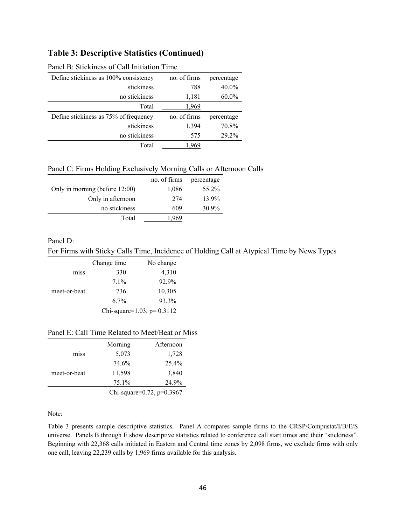## **Table 3: Descriptive Statistics (Continued)**

| Define stickiness as 100% consistency | no. of firms | percentage |
|---------------------------------------|--------------|------------|
| stickiness                            | 788          | 40.0%      |
| no stickiness                         | 1,181        | $60.0\%$   |
| Total                                 | 1,969        |            |
|                                       |              |            |
| Define stickiness as 75% of frequency | no. of firms | percentage |
| stickiness                            | 1,394        | 70.8%      |
| no stickiness                         | 575          | 29.2%      |

### Panel B: Stickiness of Call Initiation Time

### Panel C: Firms Holding Exclusively Morning Calls or Afternoon Calls

|                                | no. of firms | percentage |
|--------------------------------|--------------|------------|
| Only in morning (before 12:00) | 1,086        | 55.2%      |
| Only in afternoon              | 274          | 13.9%      |
| no stickiness                  | 609          | 30.9%      |
| Total                          | 969          |            |

### Panel D:

### For Firms with Sticky Calls Time, Incidence of Holding Call at Atypical Time by News Types

|              | Change time                      | No change |
|--------------|----------------------------------|-----------|
| miss         | 330                              | 4,310     |
|              | $7.1\%$                          | 92.9%     |
| meet-or-beat | 736                              | 10,305    |
|              | $6.7\%$                          | 93.3%     |
|              | Chi-square= $1.03$ , p= $0.3112$ |           |

### Panel E: Call Time Related to Meet/Beat or Miss

|              | Morning | Afternoon                        |
|--------------|---------|----------------------------------|
| miss         | 5,073   | 1,728                            |
|              | 74.6%   | 25.4%                            |
| meet-or-beat | 11,598  | 3,840                            |
|              | 75.1%   | 24.9%                            |
|              |         | Chi-square= $0.72$ , p= $0.3967$ |

### Note:

Table 3 presents sample descriptive statistics. Panel A compares sample firms to the CRSP/Compustat/I/B/E/S universe. Panels B through E show descriptive statistics related to conference call start times and their "stickiness". Beginning with 22,368 calls initiated in Eastern and Central time zones by 2,098 firms, we exclude firms with only one call, leaving 22,239 calls by 1,969 firms available for this analysis.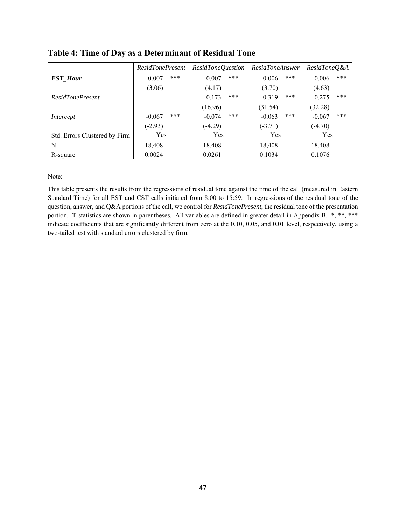|                               | <b>ResidTonePresent</b> | ResidToneQuestion | <i>ResidToneAnswer</i> | ResidToneO&A    |
|-------------------------------|-------------------------|-------------------|------------------------|-----------------|
| <b>EST_Hour</b>               | ***<br>0.007            | ***<br>0.007      | ***<br>0.006           | ***<br>0.006    |
|                               | (3.06)                  | (4.17)            | (3.70)                 | (4.63)          |
| <b>ResidTonePresent</b>       |                         | ***<br>0.173      | ***<br>0.319           | ***<br>0.275    |
|                               |                         | (16.96)           | (31.54)                | (32.28)         |
| Intercept                     | ***<br>$-0.067$         | ***<br>$-0.074$   | ***<br>$-0.063$        | ***<br>$-0.067$ |
|                               | $(-2.93)$               | $(-4.29)$         | $(-3.71)$              | $(-4.70)$       |
| Std. Errors Clustered by Firm | Yes                     | Yes               | <b>Yes</b>             | Yes             |
| N                             | 18,408                  | 18,408            | 18,408                 | 18,408          |
| R-square                      | 0.0024                  | 0.0261            | 0.1034                 | 0.1076          |

## **Table 4: Time of Day as a Determinant of Residual Tone**

Note:

This table presents the results from the regressions of residual tone against the time of the call (measured in Eastern Standard Time) for all EST and CST calls initiated from 8:00 to 15:59. In regressions of the residual tone of the question, answer, and Q&A portions of the call, we control for *ResidTonePresent*, the residual tone of the presentation portion. T-statistics are shown in parentheses. All variables are defined in greater detail in Appendix B. \*, \*\*, \*\*\* indicate coefficients that are significantly different from zero at the 0.10, 0.05, and 0.01 level, respectively, using a two-tailed test with standard errors clustered by firm.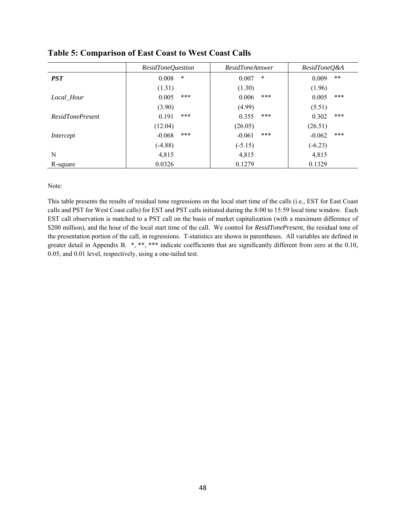|                         | ResidToneQuestion | <i>ResidToneAnswer</i> | ResidToneQ&A    |
|-------------------------|-------------------|------------------------|-----------------|
| <b>PST</b>              | ∗<br>0.008        | ∗<br>0.007             | $***$<br>0.009  |
|                         | (1.31)            | (1.30)                 | (1.96)          |
| Local Hour              | ***<br>0.005      | ***<br>0.006           | ***<br>0.005    |
|                         | (3.90)            | (4.99)                 | (5.51)          |
| <b>ResidTonePresent</b> | ***<br>0.191      | ***<br>0.355           | ***<br>0.302    |
|                         | (12.04)           | (26.05)                | (26.51)         |
| Intercept               | ***<br>$-0.068$   | ***<br>$-0.061$        | ***<br>$-0.062$ |
|                         | $(-4.88)$         | $(-5.15)$              | $(-6.23)$       |
| N                       | 4,815             | 4,815                  | 4,815           |
| R-square                | 0.0326            | 0.1279                 | 0.1329          |

## **Table 5: Comparison of East Coast to West Coast Calls**

Note:

This table presents the results of residual tone regressions on the local start time of the calls (i.e., EST for East Coast calls and PST for West Coast calls) for EST and PST calls initiated during the 8:00 to 15:59 local time window. Each EST call observation is matched to a PST call on the basis of market capitalization (with a maximum difference of \$200 million), and the hour of the local start time of the call. We control for *ResidTonePresent*, the residual tone of the presentation portion of the call, in regressions. T-statistics are shown in parentheses. All variables are defined in greater detail in Appendix B. \*, \*\*, \*\*\* indicate coefficients that are significantly different from zero at the 0.10, 0.05, and 0.01 level, respectively, using a one-tailed test.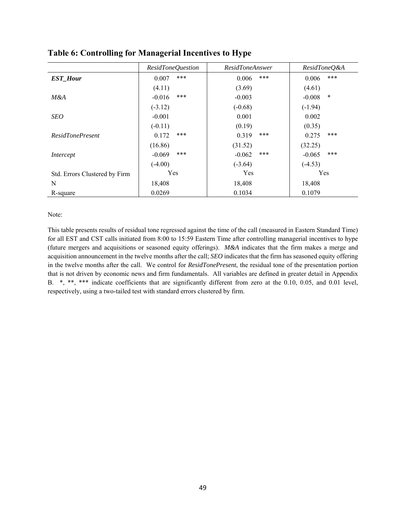|                               | ResidToneQuestion | <b>ResidToneAnswer</b> | ResidToneQ&A    |
|-------------------------------|-------------------|------------------------|-----------------|
| <b>EST Hour</b>               | ***<br>0.007      | ***<br>0.006           | ***<br>0.006    |
|                               | (4.11)            | (3.69)                 | (4.61)          |
| M&A                           | ***<br>$-0.016$   | $-0.003$               | ∗<br>$-0.008$   |
|                               | $(-3.12)$         | $(-0.68)$              | $(-1.94)$       |
| <b>SEO</b>                    | $-0.001$          | 0.001                  | 0.002           |
|                               | $(-0.11)$         | (0.19)                 | (0.35)          |
| <b>ResidTonePresent</b>       | ***<br>0.172      | ***<br>0.319           | ***<br>0.275    |
|                               | (16.86)           | (31.52)                | (32.25)         |
| Intercept                     | ***<br>$-0.069$   | ***<br>$-0.062$        | ***<br>$-0.065$ |
|                               | $(-4.00)$         | $(-3.64)$              | $(-4.53)$       |
| Std. Errors Clustered by Firm | Yes               | Yes                    | Yes             |
| N                             | 18,408            | 18,408                 | 18,408          |
| R-square                      | 0.0269            | 0.1034                 | 0.1079          |

## **Table 6: Controlling for Managerial Incentives to Hype**

### Note:

This table presents results of residual tone regressed against the time of the call (measured in Eastern Standard Time) for all EST and CST calls initiated from 8:00 to 15:59 Eastern Time after controlling managerial incentives to hype (future mergers and acquisitions or seasoned equity offerings). *M&A* indicates that the firm makes a merge and acquisition announcement in the twelve months after the call; *SEO* indicates that the firm has seasoned equity offering in the twelve months after the call. We control for *ResidTonePresent*, the residual tone of the presentation portion that is not driven by economic news and firm fundamentals. All variables are defined in greater detail in Appendix B. \*, \*\*, \*\*\* indicate coefficients that are significantly different from zero at the 0.10, 0.05, and 0.01 level, respectively, using a two-tailed test with standard errors clustered by firm.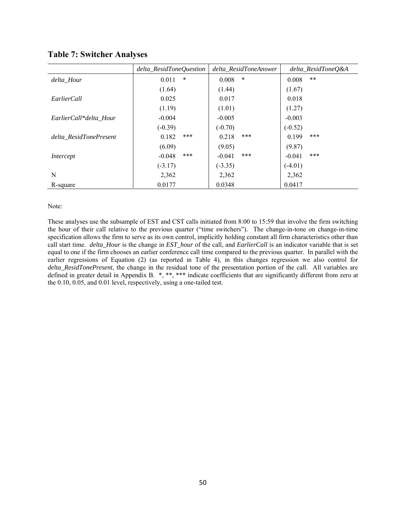|                        | delta_ResidToneQuestion | delta ResidToneAnswer | delta_ResidToneQ&A |
|------------------------|-------------------------|-----------------------|--------------------|
| delta_Hour             | ∗<br>0.011              | $\ast$<br>0.008       | $***$<br>0.008     |
|                        | (1.64)                  | (1.44)                | (1.67)             |
| <i>EarlierCall</i>     | 0.025                   | 0.017                 | 0.018              |
|                        | (1.19)                  | (1.01)                | (1.27)             |
| EarlierCall*delta Hour | $-0.004$                | $-0.005$              | $-0.003$           |
|                        | $(-0.39)$               | $(-0.70)$             | $(-0.52)$          |
| delta ResidTonePresent | ***<br>0.182            | ***<br>0.218          | ***<br>0.199       |
|                        | (6.09)                  | (9.05)                | (9.87)             |
| Intercept              | ***<br>$-0.048$         | ***<br>$-0.041$       | ***<br>$-0.041$    |
|                        | $(-3.17)$               | $(-3.35)$             | $(-4.01)$          |
| N                      | 2,362                   | 2,362                 | 2,362              |
| R-square               | 0.0177                  | 0.0348                | 0.0417             |

### **Table 7: Switcher Analyses**

#### Note:

These analyses use the subsample of EST and CST calls initiated from 8:00 to 15:59 that involve the firm switching the hour of their call relative to the previous quarter ("time switchers"). The change-in-tone on change-in-time specification allows the firm to serve as its own control, implicitly holding constant all firm characteristics other than call start time. *delta\_Hour* is the change in *EST\_hour* of the call, and *EarlierCall* is an indicator variable that is set equal to one if the firm chooses an earlier conference call time compared to the previous quarter. In parallel with the earlier regressions of Equation (2) (as reported in Table 4), in this changes regression we also control for *delta\_ResidTonePresent*, the change in the residual tone of the presentation portion of the call. All variables are defined in greater detail in Appendix B. \*, \*\*, \*\*\* indicate coefficients that are significantly different from zero at the 0.10, 0.05, and 0.01 level, respectively, using a one-tailed test.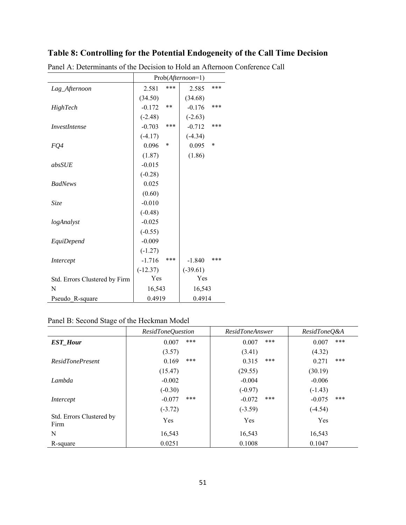# **Table 8: Controlling for the Potential Endogeneity of the Call Time Decision**

|                               | Prob(Afternoon=1) |     |            |     |
|-------------------------------|-------------------|-----|------------|-----|
| Lag_Afternoon                 | 2.581             | *** | 2.585      | *** |
|                               | (34.50)           |     | (34.68)    |     |
| HighTech                      | $-0.172$          | **  | $-0.176$   | *** |
|                               | $(-2.48)$         |     | $(-2.63)$  |     |
| <i>InvestIntense</i>          | $-0.703$          | *** | $-0.712$   | *** |
|                               | $(-4.17)$         |     | $(-4.34)$  |     |
| FQ4                           | 0.096             | ∗   | 0.095      | *   |
|                               | (1.87)            |     | (1.86)     |     |
| absSUE                        | $-0.015$          |     |            |     |
|                               | $(-0.28)$         |     |            |     |
| <b>BadNews</b>                | 0.025             |     |            |     |
|                               | (0.60)            |     |            |     |
| Size                          | $-0.010$          |     |            |     |
|                               | $(-0.48)$         |     |            |     |
| logAnalyst                    | $-0.025$          |     |            |     |
|                               | $(-0.55)$         |     |            |     |
| EquiDepend                    | $-0.009$          |     |            |     |
|                               | $(-1.27)$         |     |            |     |
| Intercept                     | $-1.716$          | *** | $-1.840$   | *** |
|                               | $(-12.37)$        |     | $(-39.61)$ |     |
| Std. Errors Clustered by Firm | Yes               |     | Yes        |     |
| N                             | 16,543            |     | 16,543     |     |
| Pseudo R-square               | 0.4919            |     | 0.4914     |     |

Panel A: Determinants of the Decision to Hold an Afternoon Conference Call

## Panel B: Second Stage of the Heckman Model

|                                  | ResidToneQuestion |     | <b>ResidToneAnswer</b> |     | ResidToneQ&A |     |
|----------------------------------|-------------------|-----|------------------------|-----|--------------|-----|
| <b>EST_Hour</b>                  | 0.007             | *** | 0.007                  | *** | 0.007        | *** |
|                                  | (3.57)            |     | (3.41)                 |     | (4.32)       |     |
| <b>ResidTonePresent</b>          | 0.169             | *** | 0.315                  | *** | 0.271        | *** |
|                                  | (15.47)           |     | (29.55)                |     | (30.19)      |     |
| Lambda                           | $-0.002$          |     | $-0.004$               |     | $-0.006$     |     |
|                                  | $(-0.30)$         |     | $(-0.97)$              |     | $(-1.43)$    |     |
| Intercept                        | $-0.077$          | *** | $-0.072$               | *** | $-0.075$     | *** |
|                                  | $(-3.72)$         |     | $(-3.59)$              |     | $(-4.54)$    |     |
| Std. Errors Clustered by<br>Firm | Yes               |     | Yes                    |     | Yes          |     |
| N                                | 16,543            |     | 16,543                 |     | 16,543       |     |
| R-square                         | 0.0251            |     | 0.1008                 |     | 0.1047       |     |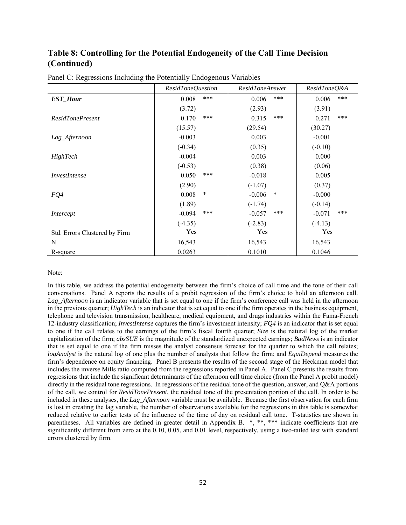# **Table 8: Controlling for the Potential Endogeneity of the Call Time Decision (Continued)**

|                               | ResidToneQuestion | <b>ResidToneAnswer</b> | ResidToneQ&A    |
|-------------------------------|-------------------|------------------------|-----------------|
| <b>EST_Hour</b>               | ***<br>0.008      | ***<br>0.006           | ***<br>0.006    |
|                               | (3.72)            | (2.93)                 | (3.91)          |
| <b>ResidTonePresent</b>       | ***<br>0.170      | ***<br>0.315           | ***<br>0.271    |
|                               | (15.57)           | (29.54)                | (30.27)         |
| Lag_Afternoon                 | $-0.003$          | 0.003                  | $-0.001$        |
|                               | $(-0.34)$         | (0.35)                 | $(-0.10)$       |
| HighTech                      | $-0.004$          | 0.003                  | 0.000           |
|                               | $(-0.53)$         | (0.38)                 | (0.06)          |
| <i>InvestIntense</i>          | ***<br>0.050      | $-0.018$               | 0.005           |
|                               | (2.90)            | $(-1.07)$              | (0.37)          |
| FQ4                           | ∗<br>0.008        | $\ast$<br>$-0.006$     | $-0.000$        |
|                               | (1.89)            | $(-1.74)$              | $(-0.14)$       |
| Intercept                     | ***<br>$-0.094$   | ***<br>$-0.057$        | ***<br>$-0.071$ |
|                               | $(-4.35)$         | $(-2.83)$              | $(-4.13)$       |
| Std. Errors Clustered by Firm | Yes               | Yes                    | Yes             |
| N                             | 16,543            | 16,543                 | 16,543          |
| R-square                      | 0.0263            | 0.1010                 | 0.1046          |

Panel C: Regressions Including the Potentially Endogenous Variables

### Note:

In this table, we address the potential endogeneity between the firm's choice of call time and the tone of their call conversations. Panel A reports the results of a probit regression of the firm's choice to hold an afternoon call. Lag Afternoon is an indicator variable that is set equal to one if the firm's conference call was held in the afternoon in the previous quarter; *HighTech* is an indicator that is set equal to one if the firm operates in the business equipment, telephone and television transmission, healthcare, medical equipment, and drugs industries within the Fama-French 12-industry classification; *InvestIntense* captures the firm's investment intensity; *FQ4* is an indicator that is set equal to one if the call relates to the earnings of the firm's fiscal fourth quarter; *Size* is the natural log of the market capitalization of the firm; *absSUE* is the magnitude of the standardized unexpected earnings; *BadNews* is an indicator that is set equal to one if the firm misses the analyst consensus forecast for the quarter to which the call relates; *logAnalyst* is the natural log of one plus the number of analysts that follow the firm; and *EquiDepend* measures the firm's dependence on equity financing. Panel B presents the results of the second stage of the Heckman model that includes the inverse Mills ratio computed from the regressions reported in Panel A. Panel C presents the results from regressions that include the significant determinants of the afternoon call time choice (from the Panel A probit model) directly in the residual tone regressions. In regressions of the residual tone of the question, answer, and Q&A portions of the call, we control for *ResidTonePresent*, the residual tone of the presentation portion of the call. In order to be included in these analyses, the *Lag\_Afternoon* variable must be available. Because the first observation for each firm is lost in creating the lag variable, the number of observations available for the regressions in this table is somewhat reduced relative to earlier tests of the influence of the time of day on residual call tone. T-statistics are shown in parentheses. All variables are defined in greater detail in Appendix B. \*, \*\*, \*\*\* indicate coefficients that are significantly different from zero at the 0.10, 0.05, and 0.01 level, respectively, using a two-tailed test with standard errors clustered by firm.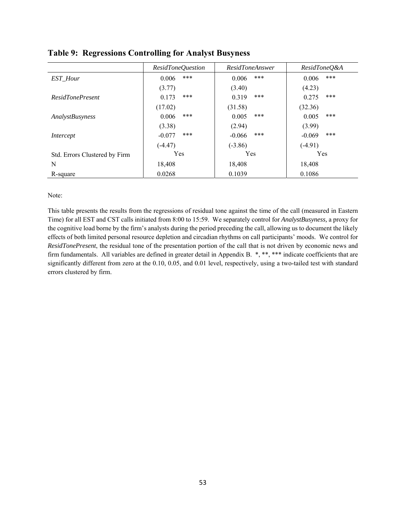|                               | ResidToneQuestion | <i>ResidToneAnswer</i> | ResidToneQ&A    |
|-------------------------------|-------------------|------------------------|-----------------|
| EST_Hour                      | ***<br>0.006      | ***<br>0.006           | ***<br>0.006    |
|                               | (3.77)            | (3.40)                 | (4.23)          |
| <b>ResidTonePresent</b>       | ***<br>0.173      | ***<br>0.319           | ***<br>0.275    |
|                               | (17.02)           | (31.58)                | (32.36)         |
| <b>AnalystBusyness</b>        | ***<br>0.006      | ***<br>0.005           | ***<br>0.005    |
|                               | (3.38)            | (2.94)                 | (3.99)          |
| Intercept                     | ***<br>$-0.077$   | ***<br>$-0.066$        | ***<br>$-0.069$ |
|                               | $(-4.47)$         | $(-3.86)$              | $(-4.91)$       |
| Std. Errors Clustered by Firm | Yes               | Yes                    | Yes             |
| N                             | 18,408            | 18,408                 | 18,408          |
| R-square                      | 0.0268            | 0.1039                 | 0.1086          |

## **Table 9: Regressions Controlling for Analyst Busyness**

Note:

This table presents the results from the regressions of residual tone against the time of the call (measured in Eastern Time) for all EST and CST calls initiated from 8:00 to 15:59. We separately control for *AnalystBusyness,* a proxy for the cognitive load borne by the firm's analysts during the period preceding the call, allowing us to document the likely effects of both limited personal resource depletion and circadian rhythms on call participants' moods. We control for *ResidTonePresent*, the residual tone of the presentation portion of the call that is not driven by economic news and firm fundamentals. All variables are defined in greater detail in Appendix B. \*, \*\*, \*\*\* indicate coefficients that are significantly different from zero at the 0.10, 0.05, and 0.01 level, respectively, using a two-tailed test with standard errors clustered by firm.